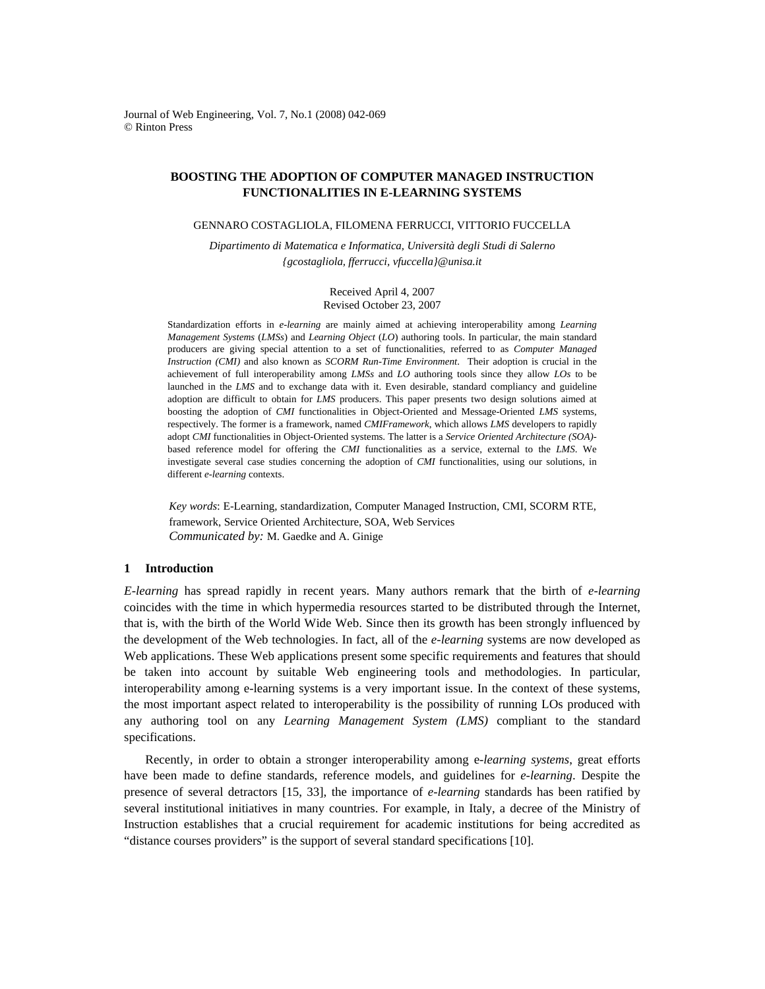Journal of Web Engineering, Vol. 7, No.1 (2008) 042-069 © Rinton Press

# **BOOSTING THE ADOPTION OF COMPUTER MANAGED INSTRUCTION FUNCTIONALITIES IN E-LEARNING SYSTEMS**

GENNARO COSTAGLIOLA, FILOMENA FERRUCCI, VITTORIO FUCCELLA

*Dipartimento di Matematica e Informatica, Università degli Studi di Salerno {gcostagliola, fferrucci, vfuccella}@unisa.it* 

> Received April 4, 2007 Revised October 23, 2007

Standardization efforts in *e-learning* are mainly aimed at achieving interoperability among *Learning Management Systems* (*LMSs*) and *Learning Object* (*LO*) authoring tools. In particular, the main standard producers are giving special attention to a set of functionalities, referred to as *Computer Managed Instruction (CMI)* and also known as *SCORM Run-Time Environment*. Their adoption is crucial in the achievement of full interoperability among *LMSs* and *LO* authoring tools since they allow *LOs* to be launched in the *LMS* and to exchange data with it. Even desirable, standard compliancy and guideline adoption are difficult to obtain for *LMS* producers. This paper presents two design solutions aimed at boosting the adoption of *CMI* functionalities in Object-Oriented and Message-Oriented *LMS* systems, respectively. The former is a framework, named *CMIFramework*, which allows *LMS* developers to rapidly adopt *CMI* functionalities in Object-Oriented systems. The latter is a *Service Oriented Architecture (SOA)* based reference model for offering the *CMI* functionalities as a service, external to the *LMS*. We investigate several case studies concerning the adoption of *CMI* functionalities, using our solutions, in different *e-learning* contexts.

*Key words*: E-Learning, standardization, Computer Managed Instruction, CMI, SCORM RTE, framework, Service Oriented Architecture, SOA, Web Services *Communicated by:* M. Gaedke and A. Ginige

# **1 Introduction**

*E-learning* has spread rapidly in recent years. Many authors remark that the birth of *e-learning* coincides with the time in which hypermedia resources started to be distributed through the Internet, that is, with the birth of the World Wide Web. Since then its growth has been strongly influenced by the development of the Web technologies. In fact, all of the *e-learning* systems are now developed as Web applications. These Web applications present some specific requirements and features that should be taken into account by suitable Web engineering tools and methodologies. In particular, interoperability among e-learning systems is a very important issue. In the context of these systems, the most important aspect related to interoperability is the possibility of running LOs produced with any authoring tool on any *Learning Management System (LMS)* compliant to the standard specifications.

Recently, in order to obtain a stronger interoperability among e-*learning systems*, great efforts have been made to define standards, reference models, and guidelines for *e*-*learning*. Despite the presence of several detractors [15, 33], the importance of *e-learning* standards has been ratified by several institutional initiatives in many countries. For example, in Italy, a decree of the Ministry of Instruction establishes that a crucial requirement for academic institutions for being accredited as "distance courses providers" is the support of several standard specifications [10].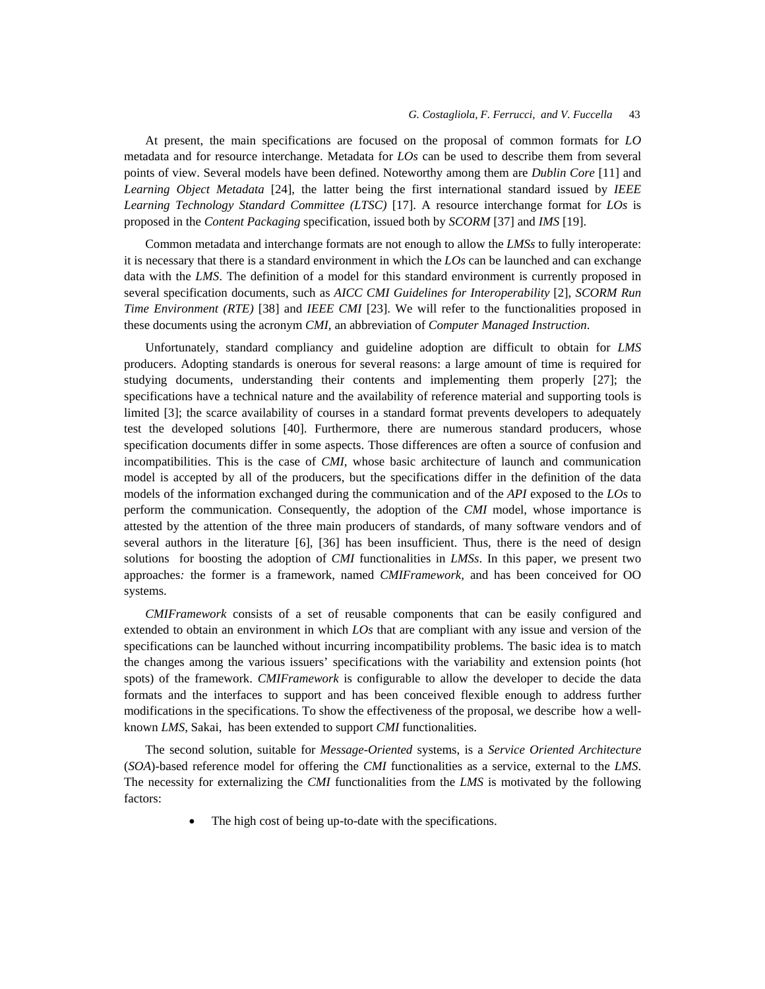At present, the main specifications are focused on the proposal of common formats for *LO* metadata and for resource interchange. Metadata for *LOs* can be used to describe them from several points of view. Several models have been defined. Noteworthy among them are *Dublin Core* [11] and *Learning Object Metadata* [24], the latter being the first international standard issued by *IEEE Learning Technology Standard Committee (LTSC)* [17]. A resource interchange format for *LOs* is proposed in the *Content Packaging* specification, issued both by *SCORM* [37] and *IMS* [19].

Common metadata and interchange formats are not enough to allow the *LMSs* to fully interoperate: it is necessary that there is a standard environment in which the *LOs* can be launched and can exchange data with the *LMS*. The definition of a model for this standard environment is currently proposed in several specification documents, such as *AICC CMI Guidelines for Interoperability* [2], *SCORM Run Time Environment (RTE)* [38] and *IEEE CMI* [23]. We will refer to the functionalities proposed in these documents using the acronym *CMI*, an abbreviation of *Computer Managed Instruction*.

Unfortunately, standard compliancy and guideline adoption are difficult to obtain for *LMS* producers. Adopting standards is onerous for several reasons: a large amount of time is required for studying documents, understanding their contents and implementing them properly [27]; the specifications have a technical nature and the availability of reference material and supporting tools is limited [3]; the scarce availability of courses in a standard format prevents developers to adequately test the developed solutions [40]. Furthermore, there are numerous standard producers, whose specification documents differ in some aspects. Those differences are often a source of confusion and incompatibilities. This is the case of *CMI*, whose basic architecture of launch and communication model is accepted by all of the producers, but the specifications differ in the definition of the data models of the information exchanged during the communication and of the *API* exposed to the *LOs* to perform the communication. Consequently, the adoption of the *CMI* model, whose importance is attested by the attention of the three main producers of standards, of many software vendors and of several authors in the literature [6], [36] has been insufficient. Thus, there is the need of design solutions for boosting the adoption of *CMI* functionalities in *LMSs*. In this paper, we present two approaches*:* the former is a framework, named *CMIFramework,* and has been conceived for OO systems.

*CMIFramework* consists of a set of reusable components that can be easily configured and extended to obtain an environment in which *LOs* that are compliant with any issue and version of the specifications can be launched without incurring incompatibility problems. The basic idea is to match the changes among the various issuers' specifications with the variability and extension points (hot spots) of the framework. *CMIFramework* is configurable to allow the developer to decide the data formats and the interfaces to support and has been conceived flexible enough to address further modifications in the specifications. To show the effectiveness of the proposal, we describe how a wellknown *LMS*, Sakai, has been extended to support *CMI* functionalities.

The second solution, suitable for *Message-Oriented* systems, is a *Service Oriented Architecture* (*SOA*)-based reference model for offering the *CMI* functionalities as a service, external to the *LMS*. The necessity for externalizing the *CMI* functionalities from the *LMS* is motivated by the following factors:

The high cost of being up-to-date with the specifications.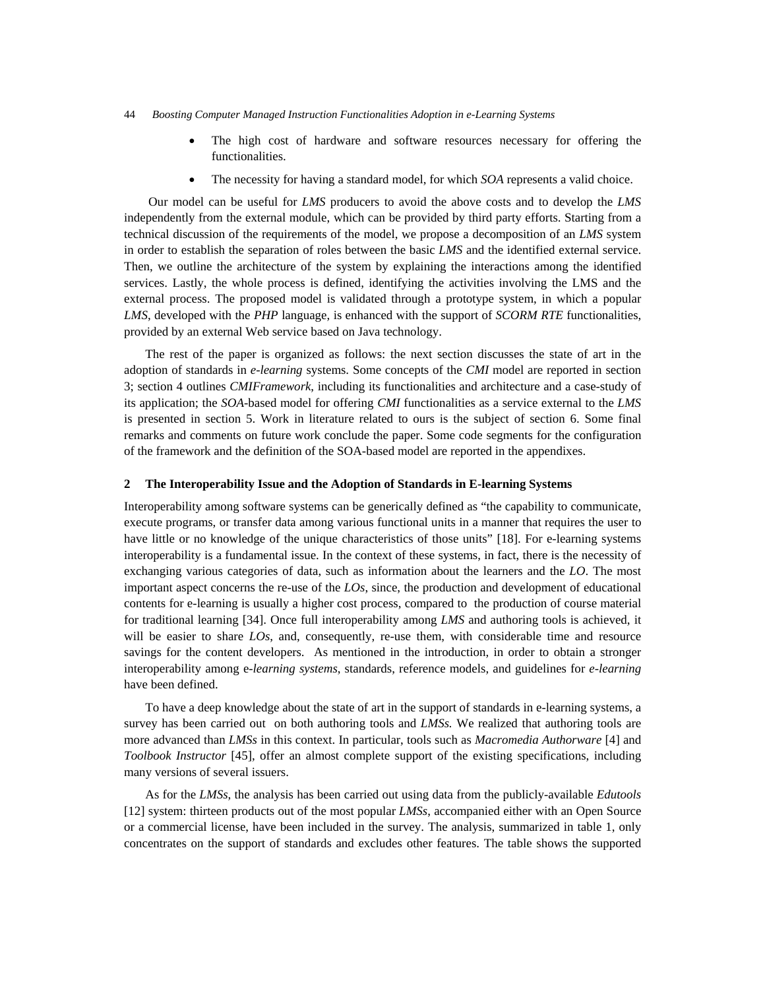- The high cost of hardware and software resources necessary for offering the functionalities.
- The necessity for having a standard model, for which *SOA* represents a valid choice.

 Our model can be useful for *LMS* producers to avoid the above costs and to develop the *LMS* independently from the external module, which can be provided by third party efforts. Starting from a technical discussion of the requirements of the model, we propose a decomposition of an *LMS* system in order to establish the separation of roles between the basic *LMS* and the identified external service. Then, we outline the architecture of the system by explaining the interactions among the identified services. Lastly, the whole process is defined, identifying the activities involving the LMS and the external process. The proposed model is validated through a prototype system, in which a popular *LMS*, developed with the *PHP* language, is enhanced with the support of *SCORM RTE* functionalities, provided by an external Web service based on Java technology.

The rest of the paper is organized as follows: the next section discusses the state of art in the adoption of standards in *e-learning* systems. Some concepts of the *CMI* model are reported in section 3; section 4 outlines *CMIFramework*, including its functionalities and architecture and a case-study of its application; the *SOA*-based model for offering *CMI* functionalities as a service external to the *LMS* is presented in section 5. Work in literature related to ours is the subject of section 6. Some final remarks and comments on future work conclude the paper. Some code segments for the configuration of the framework and the definition of the SOA-based model are reported in the appendixes.

#### **2 The Interoperability Issue and the Adoption of Standards in E-learning Systems**

Interoperability among software systems can be generically defined as "the capability to communicate, execute programs, or transfer data among various functional units in a manner that requires the user to have little or no knowledge of the unique characteristics of those units" [18]. For e-learning systems interoperability is a fundamental issue. In the context of these systems, in fact, there is the necessity of exchanging various categories of data, such as information about the learners and the *LO*. The most important aspect concerns the re-use of the *LOs*, since, the production and development of educational contents for e-learning is usually a higher cost process, compared to the production of course material for traditional learning [34]. Once full interoperability among *LMS* and authoring tools is achieved, it will be easier to share *LOs*, and, consequently, re-use them, with considerable time and resource savings for the content developers. As mentioned in the introduction, in order to obtain a stronger interoperability among e-*learning systems*, standards, reference models, and guidelines for *e*-*learning* have been defined.

To have a deep knowledge about the state of art in the support of standards in e-learning systems, a survey has been carried out on both authoring tools and *LMSs.* We realized that authoring tools are more advanced than *LMSs* in this context. In particular, tools such as *Macromedia Authorware* [4] and *Toolbook Instructor* [45], offer an almost complete support of the existing specifications, including many versions of several issuers.

As for the *LMSs*, the analysis has been carried out using data from the publicly-available *Edutools* [12] system: thirteen products out of the most popular *LMSs*, accompanied either with an Open Source or a commercial license, have been included in the survey. The analysis, summarized in table 1, only concentrates on the support of standards and excludes other features. The table shows the supported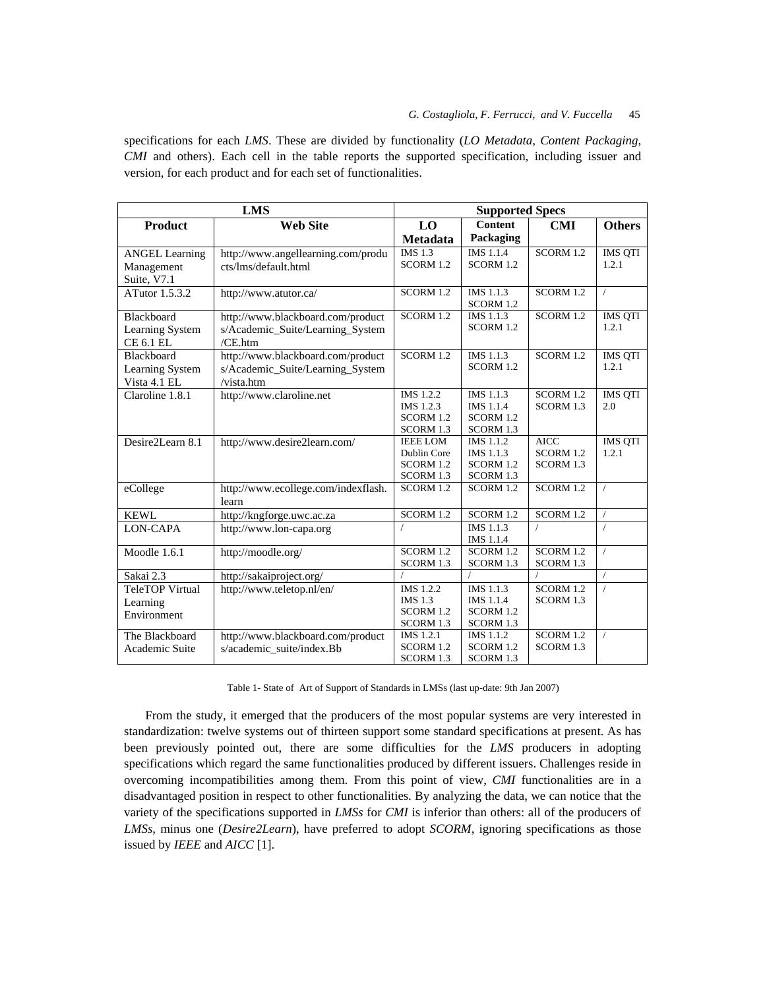specifications for each *LMS*. These are divided by functionality (*LO Metadata*, *Content Packaging*, *CMI* and others). Each cell in the table reports the supported specification, including issuer and version, for each product and for each set of functionalities.

| <b>LMS</b>             |                                     | <b>Supported Specs</b>      |                        |             |                |
|------------------------|-------------------------------------|-----------------------------|------------------------|-------------|----------------|
| Product                | <b>Web Site</b>                     | L <sub>0</sub>              | <b>Content</b>         | <b>CMI</b>  | <b>Others</b>  |
|                        |                                     | <b>Metadata</b>             | Packaging              |             |                |
| <b>ANGEL Learning</b>  | http://www.angellearning.com/produ  | $\overline{\text{IMS}}$ 1.3 | <b>IMS</b> 1.1.4       | SCORM 1.2   | <b>IMS QTI</b> |
| Management             | cts/lms/default.html                | SCORM 1.2                   | SCORM 1.2              |             | 1.2.1          |
| Suite, V7.1            |                                     |                             |                        |             |                |
| ATutor 1.5.3.2         | http://www.atutor.ca/               | SCORM 1.2                   | IMS 1.1.3              | SCORM 1.2   | $\sqrt{2}$     |
|                        |                                     |                             | SCORM 1.2              |             |                |
| Blackboard             | http://www.blackboard.com/product   | SCORM 1.2                   | IMS 1.1.3              | SCORM 1.2   | <b>IMS QTI</b> |
| Learning System        | s/Academic_Suite/Learning_System    |                             | SCORM 1.2              |             | 1.2.1          |
| <b>CE 6.1 EL</b>       | /CE.htm                             |                             |                        |             |                |
| Blackboard             | http://www.blackboard.com/product   | SCORM 1.2                   | IMS 1.1.3              | SCORM 1.2   | <b>IMS QTI</b> |
| Learning System        | s/Academic_Suite/Learning_System    |                             | SCORM 1.2              |             | 1.2.1          |
| Vista 4.1 EL           | /vista.htm                          |                             |                        |             |                |
| Claroline 1.8.1        | http://www.claroline.net            | IMS 1.2.2                   | IMS 1.1.3              | SCORM 1.2   | <b>IMS QTI</b> |
|                        |                                     | IMS 1.2.3                   | IMS 1.1.4              | SCORM 1.3   | 2.0            |
|                        |                                     | SCORM 1.2                   | SCORM 1.2              |             |                |
|                        |                                     | SCORM 1.3                   | SCORM 1.3              |             |                |
| Desire2Learn 8.1       | http://www.desire2learn.com/        | <b>IEEE LOM</b>             | IMS 1.1.2              | <b>AICC</b> | <b>IMS QTI</b> |
|                        |                                     | Dublin Core                 | IMS 1.1.3              | SCORM 1.2   | 1.2.1          |
|                        |                                     | SCORM 1.2<br>SCORM 1.3      | SCORM 1.2<br>SCORM 1.3 | SCORM 1.3   |                |
| eCollege               | http://www.ecollege.com/indexflash. | SCORM 1.2                   | SCORM 1.2              | SCORM 1.2   | $\sqrt{2}$     |
|                        | learn                               |                             |                        |             |                |
| <b>KEWL</b>            | http://kngforge.uwc.ac.za           | SCORM 1.2                   | SCORM 1.2              | SCORM 1.2   | $\sqrt{2}$     |
| <b>LON-CAPA</b>        | http://www.lon-capa.org             |                             | IMS 1.1.3              | $\sqrt{2}$  |                |
|                        |                                     |                             | <b>IMS 1.1.4</b>       |             |                |
| Moodle 1.6.1           | http://moodle.org/                  | SCORM 1.2                   | SCORM 1.2              | SCORM 1.2   | $\sqrt{2}$     |
|                        |                                     | SCORM 1.3                   | SCORM 1.3              | SCORM 1.3   |                |
| Sakai 2.3              | http://sakaiproject.org/            |                             |                        |             |                |
| <b>TeleTOP Virtual</b> | http://www.teletop.nl/en/           | IMS 1.2.2                   | IMS 1.1.3              | SCORM 1.2   | $\sqrt{2}$     |
| Learning               |                                     | <b>IMS 1.3</b>              | IMS 1.1.4              | SCORM 1.3   |                |
| Environment            |                                     | SCORM 1.2                   | SCORM 1.2              |             |                |
|                        |                                     | SCORM 1.3                   | SCORM 1.3              |             |                |
| The Blackboard         | http://www.blackboard.com/product   | IMS 1.2.1                   | IMS 1.1.2              | SCORM 1.2   | $\prime$       |
| Academic Suite         | s/academic_suite/index.Bb           | SCORM 1.2                   | SCORM 1.2              | SCORM 1.3   |                |
|                        |                                     | SCORM 1.3                   | SCORM 1.3              |             |                |

Table 1- State of Art of Support of Standards in LMSs (last up-date: 9th Jan 2007)

From the study, it emerged that the producers of the most popular systems are very interested in standardization: twelve systems out of thirteen support some standard specifications at present. As has been previously pointed out, there are some difficulties for the *LMS* producers in adopting specifications which regard the same functionalities produced by different issuers. Challenges reside in overcoming incompatibilities among them. From this point of view, *CMI* functionalities are in a disadvantaged position in respect to other functionalities. By analyzing the data, we can notice that the variety of the specifications supported in *LMSs* for *CMI* is inferior than others: all of the producers of *LMSs*, minus one (*Desire2Learn*), have preferred to adopt *SCORM*, ignoring specifications as those issued by *IEEE* and *AICC* [1].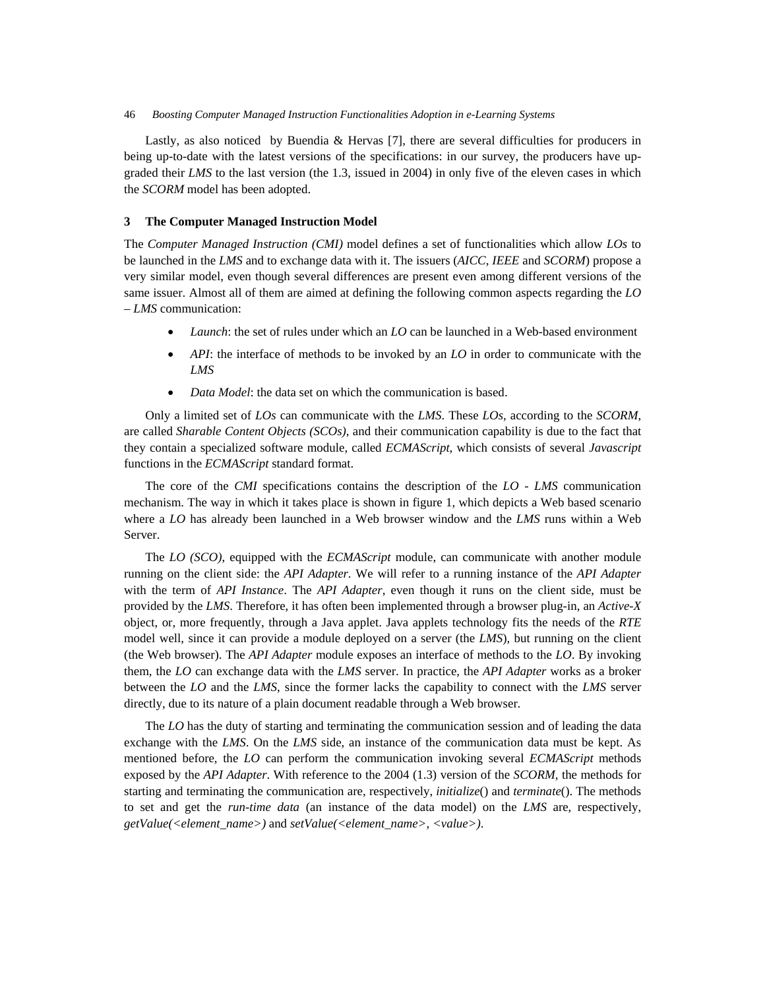Lastly, as also noticed by Buendia & Hervas [7], there are several difficulties for producers in being up-to-date with the latest versions of the specifications: in our survey, the producers have upgraded their *LMS* to the last version (the 1.3, issued in 2004) in only five of the eleven cases in which the *SCORM* model has been adopted.

### **3 The Computer Managed Instruction Model**

The *Computer Managed Instruction (CMI)* model defines a set of functionalities which allow *LOs* to be launched in the *LMS* and to exchange data with it. The issuers (*AICC*, *IEEE* and *SCORM*) propose a very similar model, even though several differences are present even among different versions of the same issuer. Almost all of them are aimed at defining the following common aspects regarding the *LO – LMS* communication:

- *Launch*: the set of rules under which an *LO* can be launched in a Web-based environment
- *API*: the interface of methods to be invoked by an *LO* in order to communicate with the *LMS*
- *Data Model*: the data set on which the communication is based.

Only a limited set of *LOs* can communicate with the *LMS*. These *LOs*, according to the *SCORM*, are called *Sharable Content Objects (SCOs)*, and their communication capability is due to the fact that they contain a specialized software module, called *ECMAScript*, which consists of several *Javascript* functions in the *ECMAScript* standard format.

The core of the *CMI* specifications contains the description of the *LO - LMS* communication mechanism. The way in which it takes place is shown in figure 1, which depicts a Web based scenario where a *LO* has already been launched in a Web browser window and the *LMS* runs within a Web Server.

The *LO (SCO)*, equipped with the *ECMAScript* module, can communicate with another module running on the client side: the *API Adapter*. We will refer to a running instance of the *API Adapter* with the term of *API Instance*. The *API Adapter*, even though it runs on the client side, must be provided by the *LMS*. Therefore, it has often been implemented through a browser plug-in, an *Active-X* object, or, more frequently, through a Java applet. Java applets technology fits the needs of the *RTE* model well, since it can provide a module deployed on a server (the *LMS*), but running on the client (the Web browser). The *API Adapter* module exposes an interface of methods to the *LO*. By invoking them, the *LO* can exchange data with the *LMS* server. In practice, the *API Adapter* works as a broker between the *LO* and the *LMS*, since the former lacks the capability to connect with the *LMS* server directly, due to its nature of a plain document readable through a Web browser.

The *LO* has the duty of starting and terminating the communication session and of leading the data exchange with the *LMS*. On the *LMS* side, an instance of the communication data must be kept. As mentioned before, the *LO* can perform the communication invoking several *ECMAScript* methods exposed by the *API Adapter*. With reference to the 2004 (1.3) version of the *SCORM*, the methods for starting and terminating the communication are, respectively, *initialize*() and *terminate*(). The methods to set and get the *run-time data* (an instance of the data model) on the *LMS* are, respectively, *getValue(<element\_name>)* and *setValue(<element\_name>, <value>)*.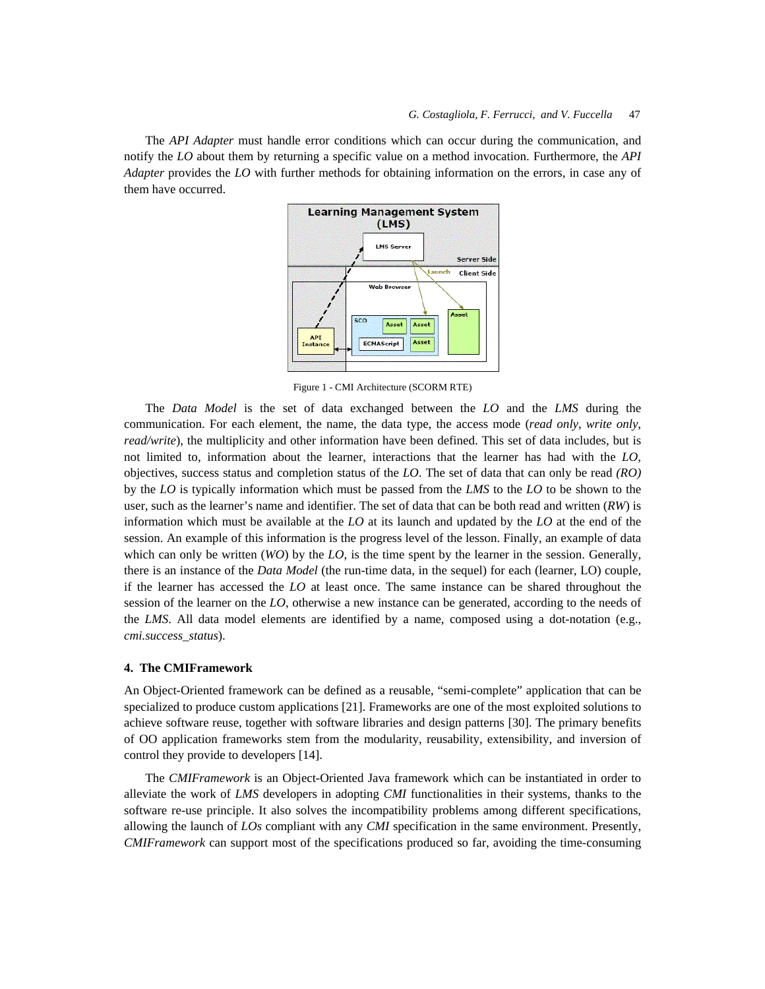The *API Adapter* must handle error conditions which can occur during the communication, and notify the *LO* about them by returning a specific value on a method invocation. Furthermore, the *API Adapter* provides the *LO* with further methods for obtaining information on the errors, in case any of them have occurred.



Figure 1 - CMI Architecture (SCORM RTE)

The *Data Model* is the set of data exchanged between the *LO* and the *LMS* during the communication. For each element, the name, the data type, the access mode (*read only*, *write only*, *read/write*), the multiplicity and other information have been defined. This set of data includes, but is not limited to, information about the learner, interactions that the learner has had with the *LO*, objectives, success status and completion status of the *LO*. The set of data that can only be read *(RO)* by the *LO* is typically information which must be passed from the *LMS* to the *LO* to be shown to the user, such as the learner's name and identifier. The set of data that can be both read and written (*RW*) is information which must be available at the *LO* at its launch and updated by the *LO* at the end of the session. An example of this information is the progress level of the lesson. Finally, an example of data which can only be written (*WO*) by the *LO*, is the time spent by the learner in the session. Generally, there is an instance of the *Data Model* (the run-time data, in the sequel) for each (learner, LO) couple, if the learner has accessed the *LO* at least once. The same instance can be shared throughout the session of the learner on the *LO*, otherwise a new instance can be generated, according to the needs of the *LMS*. All data model elements are identified by a name, composed using a dot-notation (e.g., *cmi.success\_status*).

### **4. The CMIFramework**

An Object-Oriented framework can be defined as a reusable, "semi-complete" application that can be specialized to produce custom applications [21]. Frameworks are one of the most exploited solutions to achieve software reuse, together with software libraries and design patterns [30]. The primary benefits of OO application frameworks stem from the modularity, reusability, extensibility, and inversion of control they provide to developers [14].

The *CMIFramework* is an Object-Oriented Java framework which can be instantiated in order to alleviate the work of *LMS* developers in adopting *CMI* functionalities in their systems, thanks to the software re-use principle. It also solves the incompatibility problems among different specifications, allowing the launch of *LOs* compliant with any *CMI* specification in the same environment. Presently, *CMIFramework* can support most of the specifications produced so far, avoiding the time-consuming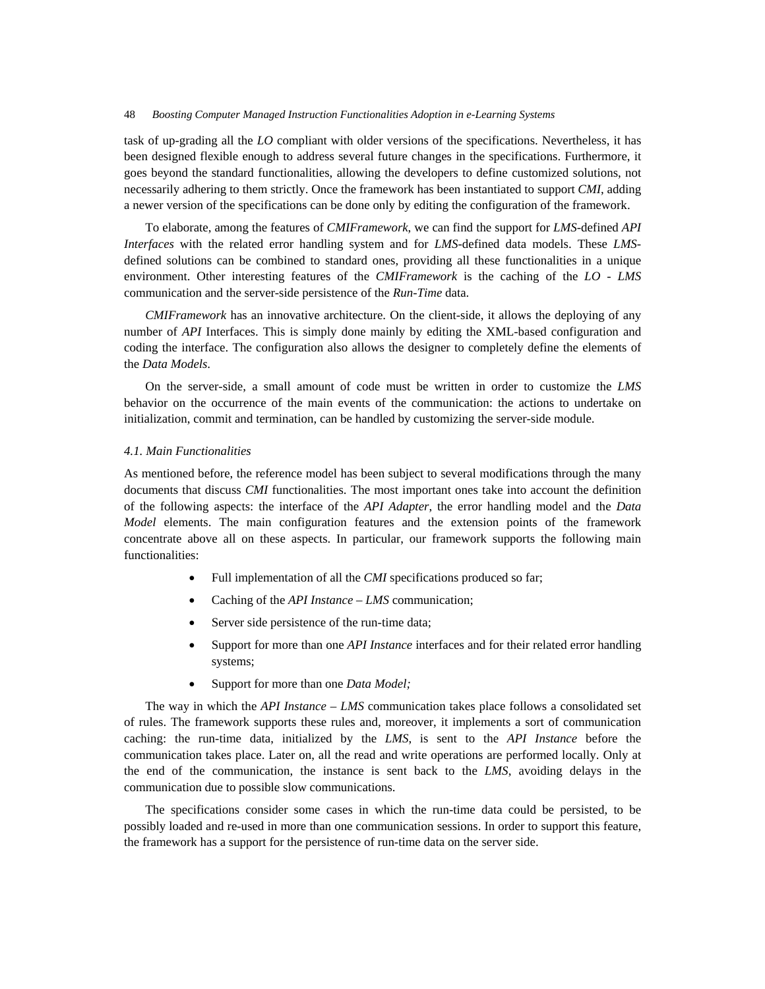task of up-grading all the *LO* compliant with older versions of the specifications. Nevertheless, it has been designed flexible enough to address several future changes in the specifications. Furthermore, it goes beyond the standard functionalities, allowing the developers to define customized solutions, not necessarily adhering to them strictly. Once the framework has been instantiated to support *CMI*, adding a newer version of the specifications can be done only by editing the configuration of the framework.

To elaborate, among the features of *CMIFramework*, we can find the support for *LMS*-defined *API Interfaces* with the related error handling system and for *LMS*-defined data models. These *LMS*defined solutions can be combined to standard ones, providing all these functionalities in a unique environment. Other interesting features of the *CMIFramework* is the caching of the *LO - LMS* communication and the server-side persistence of the *Run-Time* data.

*CMIFramework* has an innovative architecture. On the client-side, it allows the deploying of any number of *API* Interfaces. This is simply done mainly by editing the XML-based configuration and coding the interface. The configuration also allows the designer to completely define the elements of the *Data Models*.

On the server-side, a small amount of code must be written in order to customize the *LMS* behavior on the occurrence of the main events of the communication: the actions to undertake on initialization, commit and termination, can be handled by customizing the server-side module.

### *4.1. Main Functionalities*

As mentioned before, the reference model has been subject to several modifications through the many documents that discuss *CMI* functionalities. The most important ones take into account the definition of the following aspects: the interface of the *API Adapter*, the error handling model and the *Data Model* elements. The main configuration features and the extension points of the framework concentrate above all on these aspects. In particular, our framework supports the following main functionalities:

- Full implementation of all the *CMI* specifications produced so far;
- Caching of the *API Instance LMS* communication;
- Server side persistence of the run-time data;
- Support for more than one *API Instance* interfaces and for their related error handling systems;
- Support for more than one *Data Model;*

The way in which the *API Instance – LMS* communication takes place follows a consolidated set of rules. The framework supports these rules and, moreover, it implements a sort of communication caching: the run-time data, initialized by the *LMS*, is sent to the *API Instance* before the communication takes place. Later on, all the read and write operations are performed locally. Only at the end of the communication, the instance is sent back to the *LMS*, avoiding delays in the communication due to possible slow communications.

The specifications consider some cases in which the run-time data could be persisted, to be possibly loaded and re-used in more than one communication sessions. In order to support this feature, the framework has a support for the persistence of run-time data on the server side.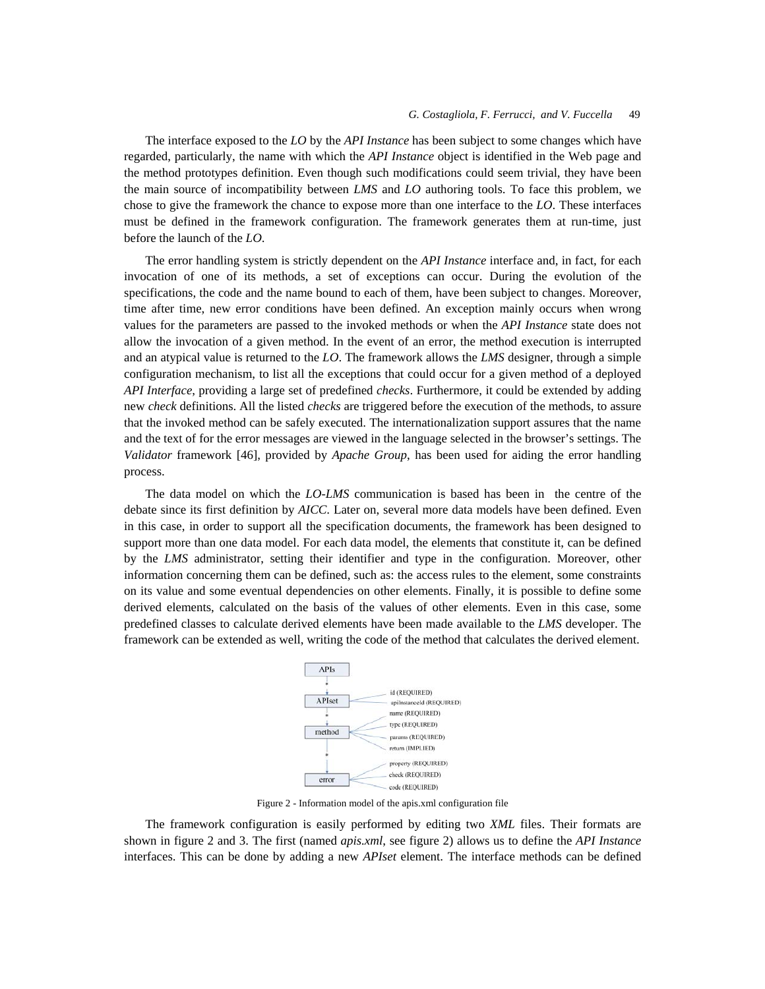The interface exposed to the *LO* by the *API Instance* has been subject to some changes which have regarded, particularly, the name with which the *API Instance* object is identified in the Web page and the method prototypes definition. Even though such modifications could seem trivial, they have been the main source of incompatibility between *LMS* and *LO* authoring tools. To face this problem, we chose to give the framework the chance to expose more than one interface to the *LO*. These interfaces must be defined in the framework configuration. The framework generates them at run-time, just before the launch of the *LO*.

The error handling system is strictly dependent on the *API Instance* interface and, in fact, for each invocation of one of its methods, a set of exceptions can occur. During the evolution of the specifications, the code and the name bound to each of them, have been subject to changes. Moreover, time after time, new error conditions have been defined. An exception mainly occurs when wrong values for the parameters are passed to the invoked methods or when the *API Instance* state does not allow the invocation of a given method. In the event of an error, the method execution is interrupted and an atypical value is returned to the *LO*. The framework allows the *LMS* designer, through a simple configuration mechanism, to list all the exceptions that could occur for a given method of a deployed *API Interface*, providing a large set of predefined *checks*. Furthermore, it could be extended by adding new *check* definitions. All the listed *checks* are triggered before the execution of the methods, to assure that the invoked method can be safely executed. The internationalization support assures that the name and the text of for the error messages are viewed in the language selected in the browser's settings. The *Validator* framework [46], provided by *Apache Group*, has been used for aiding the error handling process.

The data model on which the *LO-LMS* communication is based has been in the centre of the debate since its first definition by *AICC*. Later on, several more data models have been defined. Even in this case, in order to support all the specification documents, the framework has been designed to support more than one data model. For each data model, the elements that constitute it, can be defined by the *LMS* administrator, setting their identifier and type in the configuration. Moreover, other information concerning them can be defined, such as: the access rules to the element, some constraints on its value and some eventual dependencies on other elements. Finally, it is possible to define some derived elements, calculated on the basis of the values of other elements. Even in this case, some predefined classes to calculate derived elements have been made available to the *LMS* developer. The framework can be extended as well, writing the code of the method that calculates the derived element.



Figure 2 - Information model of the apis.xml configuration file

The framework configuration is easily performed by editing two *XML* files. Their formats are shown in figure 2 and 3. The first (named *apis.xml*, see figure 2) allows us to define the *API Instance* interfaces. This can be done by adding a new *APIset* element. The interface methods can be defined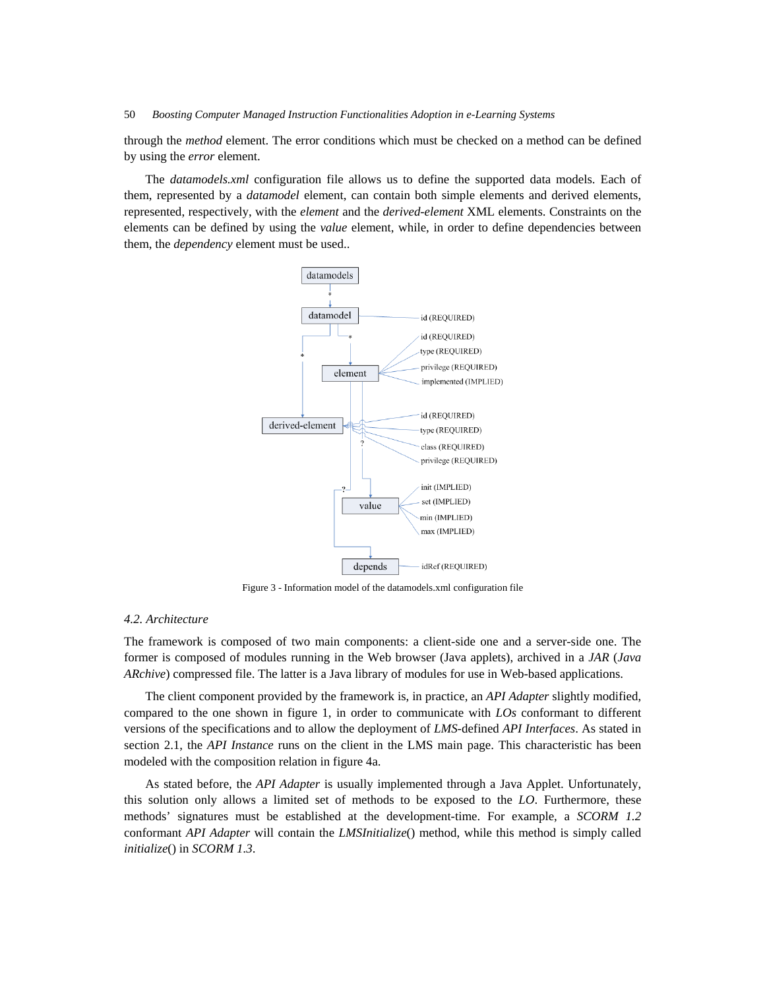through the *method* element. The error conditions which must be checked on a method can be defined by using the *error* element.

The *datamodels.xml* configuration file allows us to define the supported data models. Each of them, represented by a *datamodel* element, can contain both simple elements and derived elements, represented, respectively, with the *element* and the *derived*-*element* XML elements. Constraints on the elements can be defined by using the *value* element, while, in order to define dependencies between them, the *dependency* element must be used..



Figure 3 - Information model of the datamodels.xml configuration file

## *4.2. Architecture*

The framework is composed of two main components: a client-side one and a server-side one. The former is composed of modules running in the Web browser (Java applets), archived in a *JAR* (*Java ARchive*) compressed file. The latter is a Java library of modules for use in Web-based applications.

The client component provided by the framework is, in practice, an *API Adapter* slightly modified, compared to the one shown in figure 1, in order to communicate with *LOs* conformant to different versions of the specifications and to allow the deployment of *LMS*-defined *API Interfaces*. As stated in section 2.1, the *API Instance* runs on the client in the LMS main page. This characteristic has been modeled with the composition relation in figure 4a.

As stated before, the *API Adapter* is usually implemented through a Java Applet. Unfortunately, this solution only allows a limited set of methods to be exposed to the *LO*. Furthermore, these methods' signatures must be established at the development-time. For example, a *SCORM 1.2* conformant *API Adapter* will contain the *LMSInitialize*() method, while this method is simply called *initialize*() in *SCORM 1.3*.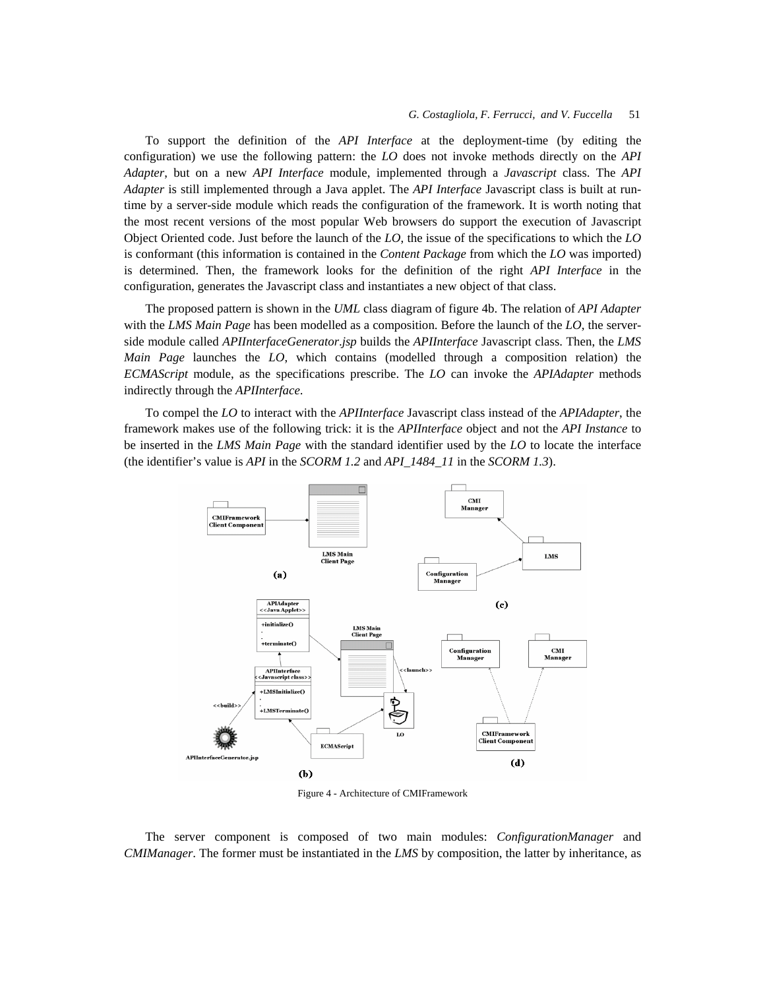To support the definition of the *API Interface* at the deployment-time (by editing the configuration) we use the following pattern: the *LO* does not invoke methods directly on the *API Adapter*, but on a new *API Interface* module, implemented through a *Javascript* class. The *API Adapter* is still implemented through a Java applet. The *API Interface* Javascript class is built at runtime by a server-side module which reads the configuration of the framework. It is worth noting that the most recent versions of the most popular Web browsers do support the execution of Javascript Object Oriented code. Just before the launch of the *LO*, the issue of the specifications to which the *LO* is conformant (this information is contained in the *Content Package* from which the *LO* was imported) is determined. Then, the framework looks for the definition of the right *API Interface* in the configuration, generates the Javascript class and instantiates a new object of that class.

The proposed pattern is shown in the *UML* class diagram of figure 4b. The relation of *API Adapter* with the *LMS Main Page* has been modelled as a composition. Before the launch of the *LO*, the serverside module called *APIInterfaceGenerator*.*jsp* builds the *APIInterface* Javascript class. Then, the *LMS Main Page* launches the *LO*, which contains (modelled through a composition relation) the *ECMAScript* module, as the specifications prescribe. The *LO* can invoke the *APIAdapter* methods indirectly through the *APIInterface*.

To compel the *LO* to interact with the *APIInterface* Javascript class instead of the *APIAdapter*, the framework makes use of the following trick: it is the *APIInterface* object and not the *API Instance* to be inserted in the *LMS Main Page* with the standard identifier used by the *LO* to locate the interface (the identifier's value is *API* in the *SCORM 1.2* and *API\_1484\_11* in the *SCORM 1.3*).



Figure 4 - Architecture of CMIFramework

The server component is composed of two main modules: *ConfigurationManager* and *CMIManager*. The former must be instantiated in the *LMS* by composition, the latter by inheritance, as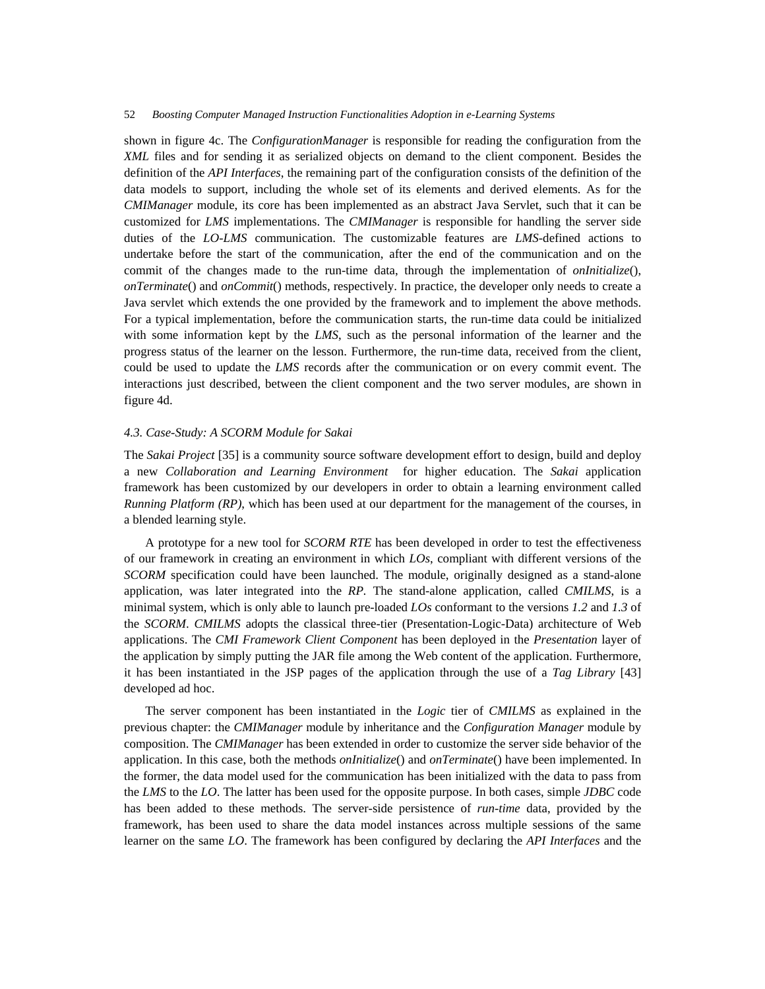shown in figure 4c. The *ConfigurationManager* is responsible for reading the configuration from the *XML* files and for sending it as serialized objects on demand to the client component. Besides the definition of the *API Interfaces*, the remaining part of the configuration consists of the definition of the data models to support, including the whole set of its elements and derived elements. As for the *CMIManager* module, its core has been implemented as an abstract Java Servlet, such that it can be customized for *LMS* implementations. The *CMIManager* is responsible for handling the server side duties of the *LO-LMS* communication. The customizable features are *LMS*-defined actions to undertake before the start of the communication, after the end of the communication and on the commit of the changes made to the run-time data, through the implementation of *onInitialize*(), *onTerminate*() and *onCommit*() methods, respectively. In practice, the developer only needs to create a Java servlet which extends the one provided by the framework and to implement the above methods. For a typical implementation, before the communication starts, the run-time data could be initialized with some information kept by the *LMS*, such as the personal information of the learner and the progress status of the learner on the lesson. Furthermore, the run-time data, received from the client, could be used to update the *LMS* records after the communication or on every commit event. The interactions just described, between the client component and the two server modules, are shown in figure 4d.

## *4.3. Case-Study: A SCORM Module for Sakai*

The *Sakai Project* [35] is a community source software development effort to design, build and deploy a new *Collaboration and Learning Environment* for higher education. The *Sakai* application framework has been customized by our developers in order to obtain a learning environment called *Running Platform (RP)*, which has been used at our department for the management of the courses, in a blended learning style.

A prototype for a new tool for *SCORM RTE* has been developed in order to test the effectiveness of our framework in creating an environment in which *LOs*, compliant with different versions of the *SCORM* specification could have been launched. The module, originally designed as a stand-alone application, was later integrated into the *RP.* The stand-alone application, called *CMILMS*, is a minimal system, which is only able to launch pre-loaded *LOs* conformant to the versions *1.2* and *1.3* of the *SCORM*. *CMILMS* adopts the classical three-tier (Presentation-Logic-Data) architecture of Web applications. The *CMI Framework Client Component* has been deployed in the *Presentation* layer of the application by simply putting the JAR file among the Web content of the application. Furthermore, it has been instantiated in the JSP pages of the application through the use of a *Tag Library* [43] developed ad hoc.

The server component has been instantiated in the *Logic* tier of *CMILMS* as explained in the previous chapter: the *CMIManager* module by inheritance and the *Configuration Manager* module by composition. The *CMIManager* has been extended in order to customize the server side behavior of the application. In this case, both the methods *onInitialize*() and *onTerminate*() have been implemented. In the former, the data model used for the communication has been initialized with the data to pass from the *LMS* to the *LO*. The latter has been used for the opposite purpose. In both cases, simple *JDBC* code has been added to these methods. The server-side persistence of *run-time* data, provided by the framework, has been used to share the data model instances across multiple sessions of the same learner on the same *LO*. The framework has been configured by declaring the *API Interfaces* and the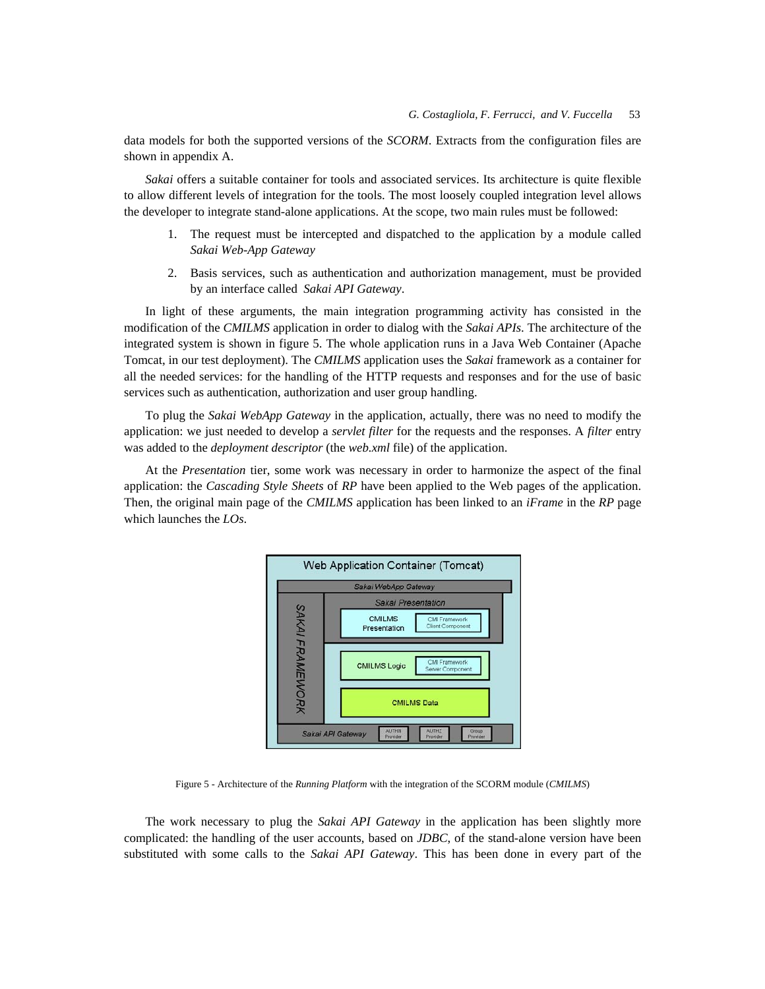data models for both the supported versions of the *SCORM*. Extracts from the configuration files are shown in appendix A.

*Sakai* offers a suitable container for tools and associated services. Its architecture is quite flexible to allow different levels of integration for the tools. The most loosely coupled integration level allows the developer to integrate stand-alone applications. At the scope, two main rules must be followed:

- The request must be intercepted and dispatched to the application by a module called *Sakai Web-App Gateway*
- 2. Basis services, such as authentication and authorization management, must be provided by an interface called *Sakai API Gateway*.

In light of these arguments, the main integration programming activity has consisted in the modification of the *CMILMS* application in order to dialog with the *Sakai APIs*. The architecture of the integrated system is shown in figure 5. The whole application runs in a Java Web Container (Apache Tomcat, in our test deployment). The *CMILMS* application uses the *Sakai* framework as a container for all the needed services: for the handling of the HTTP requests and responses and for the use of basic services such as authentication, authorization and user group handling.

To plug the *Sakai WebApp Gateway* in the application, actually, there was no need to modify the application: we just needed to develop a *servlet filter* for the requests and the responses. A *filter* entry was added to the *deployment descriptor* (the *web.xml* file) of the application.

At the *Presentation* tier, some work was necessary in order to harmonize the aspect of the final application: the *Cascading Style Sheets* of *RP* have been applied to the Web pages of the application. Then, the original main page of the *CMILMS* application has been linked to an *iFrame* in the *RP* page which launches the *LOs*.



Figure 5 - Architecture of the *Running Platform* with the integration of the SCORM module (*CMILMS*)

The work necessary to plug the *Sakai API Gateway* in the application has been slightly more complicated: the handling of the user accounts, based on *JDBC*, of the stand-alone version have been substituted with some calls to the *Sakai API Gateway*. This has been done in every part of the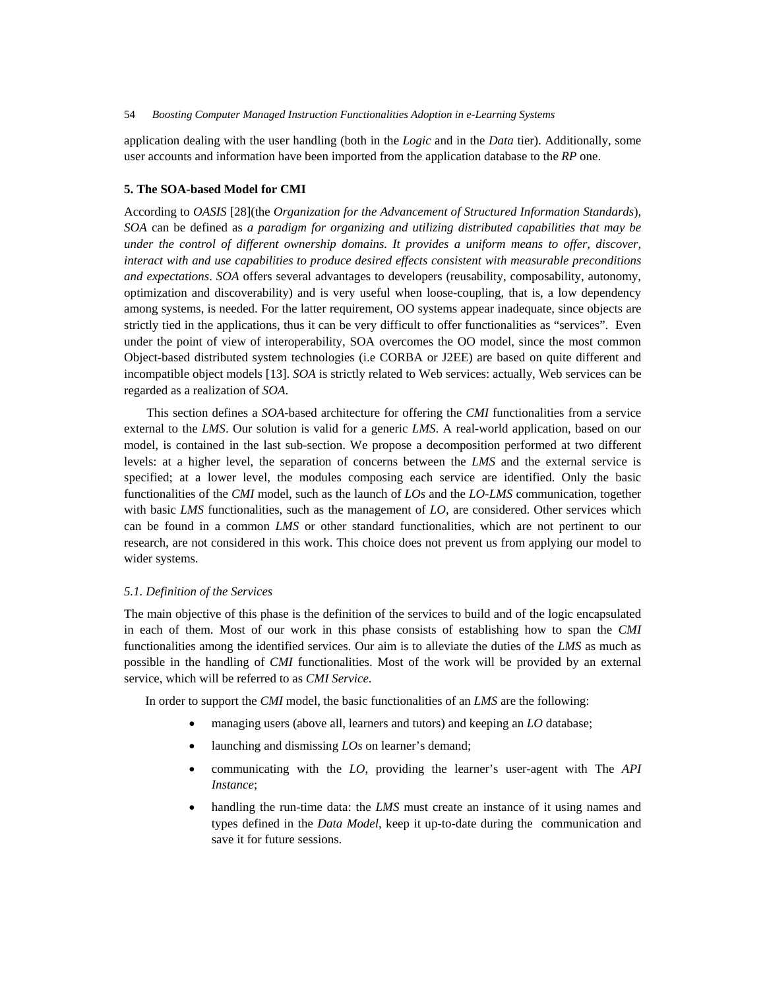application dealing with the user handling (both in the *Logic* and in the *Data* tier). Additionally, some user accounts and information have been imported from the application database to the *RP* one.

### **5. The SOA-based Model for CMI**

According to *OASIS* [28](the *Organization for the Advancement of Structured Information Standards*), *SOA* can be defined as *a paradigm for organizing and utilizing distributed capabilities that may be under the control of different ownership domains. It provides a uniform means to offer, discover, interact with and use capabilities to produce desired effects consistent with measurable preconditions and expectations*. *SOA* offers several advantages to developers (reusability, composability, autonomy, optimization and discoverability) and is very useful when loose-coupling, that is, a low dependency among systems, is needed. For the latter requirement, OO systems appear inadequate, since objects are strictly tied in the applications, thus it can be very difficult to offer functionalities as "services". Even under the point of view of interoperability, SOA overcomes the OO model, since the most common Object-based distributed system technologies (i.e CORBA or J2EE) are based on quite different and incompatible object models [13]. *SOA* is strictly related to Web services: actually, Web services can be regarded as a realization of *SOA*.

This section defines a *SOA*-based architecture for offering the *CMI* functionalities from a service external to the *LMS*. Our solution is valid for a generic *LMS*. A real-world application, based on our model, is contained in the last sub-section. We propose a decomposition performed at two different levels: at a higher level, the separation of concerns between the *LMS* and the external service is specified; at a lower level, the modules composing each service are identified. Only the basic functionalities of the *CMI* model, such as the launch of *LOs* and the *LO-LMS* communication, together with basic *LMS* functionalities, such as the management of *LO*, are considered. Other services which can be found in a common *LMS* or other standard functionalities, which are not pertinent to our research, are not considered in this work. This choice does not prevent us from applying our model to wider systems.

### *5.1. Definition of the Services*

The main objective of this phase is the definition of the services to build and of the logic encapsulated in each of them. Most of our work in this phase consists of establishing how to span the *CMI* functionalities among the identified services. Our aim is to alleviate the duties of the *LMS* as much as possible in the handling of *CMI* functionalities. Most of the work will be provided by an external service, which will be referred to as *CMI Service*.

In order to support the *CMI* model, the basic functionalities of an *LMS* are the following:

- managing users (above all, learners and tutors) and keeping an *LO* database;
- launching and dismissing *LOs* on learner's demand;
- communicating with the *LO*, providing the learner's user-agent with The *API Instance*;
- handling the run-time data: the *LMS* must create an instance of it using names and types defined in the *Data Model*, keep it up-to-date during the communication and save it for future sessions.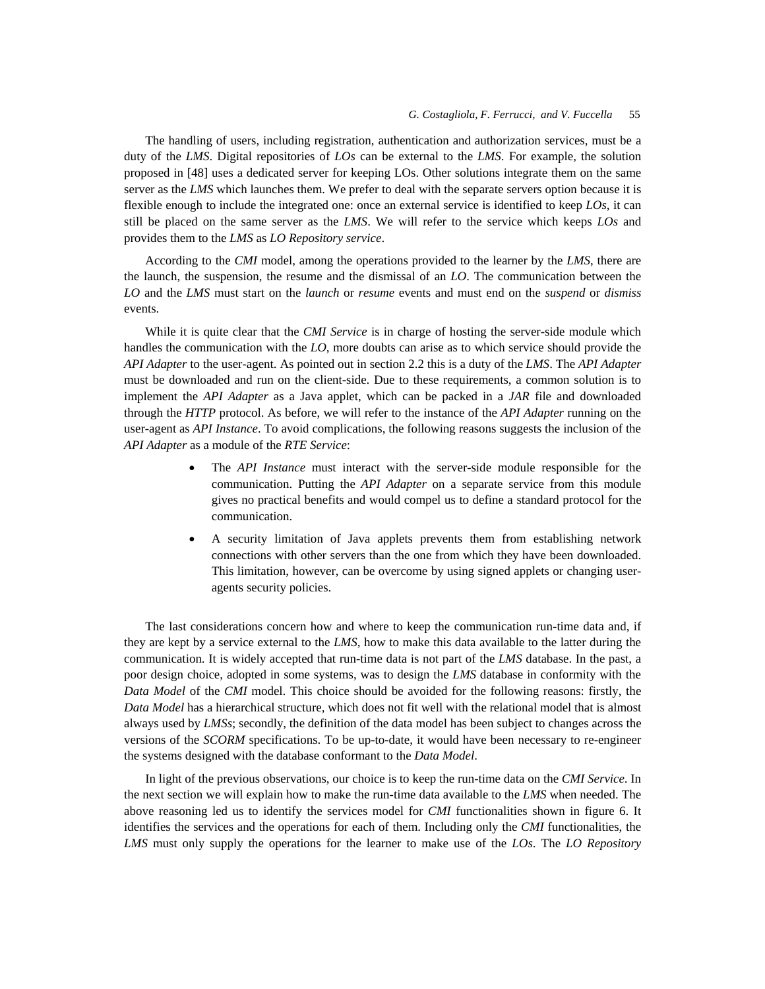The handling of users, including registration, authentication and authorization services, must be a duty of the *LMS*. Digital repositories of *LOs* can be external to the *LMS*. For example, the solution proposed in [48] uses a dedicated server for keeping LOs. Other solutions integrate them on the same server as the *LMS* which launches them. We prefer to deal with the separate servers option because it is flexible enough to include the integrated one: once an external service is identified to keep *LOs*, it can still be placed on the same server as the *LMS*. We will refer to the service which keeps *LOs* and provides them to the *LMS* as *LO Repository service*.

According to the *CMI* model, among the operations provided to the learner by the *LMS*, there are the launch, the suspension, the resume and the dismissal of an *LO*. The communication between the *LO* and the *LMS* must start on the *launch* or *resume* events and must end on the *suspend* or *dismiss* events.

While it is quite clear that the *CMI Service* is in charge of hosting the server-side module which handles the communication with the *LO*, more doubts can arise as to which service should provide the *API Adapter* to the user-agent. As pointed out in section 2.2 this is a duty of the *LMS*. The *API Adapter* must be downloaded and run on the client-side. Due to these requirements, a common solution is to implement the *API Adapter* as a Java applet, which can be packed in a *JAR* file and downloaded through the *HTTP* protocol. As before, we will refer to the instance of the *API Adapter* running on the user-agent as *API Instance*. To avoid complications, the following reasons suggests the inclusion of the *API Adapter* as a module of the *RTE Service*:

- The *API Instance* must interact with the server-side module responsible for the communication. Putting the *API Adapter* on a separate service from this module gives no practical benefits and would compel us to define a standard protocol for the communication.
- A security limitation of Java applets prevents them from establishing network connections with other servers than the one from which they have been downloaded. This limitation, however, can be overcome by using signed applets or changing useragents security policies.

The last considerations concern how and where to keep the communication run-time data and, if they are kept by a service external to the *LMS*, how to make this data available to the latter during the communication. It is widely accepted that run-time data is not part of the *LMS* database. In the past, a poor design choice, adopted in some systems, was to design the *LMS* database in conformity with the *Data Model* of the *CMI* model. This choice should be avoided for the following reasons: firstly, the *Data Model* has a hierarchical structure, which does not fit well with the relational model that is almost always used by *LMSs*; secondly, the definition of the data model has been subject to changes across the versions of the *SCORM* specifications. To be up-to-date, it would have been necessary to re-engineer the systems designed with the database conformant to the *Data Model*.

In light of the previous observations, our choice is to keep the run-time data on the *CMI Service*. In the next section we will explain how to make the run-time data available to the *LMS* when needed. The above reasoning led us to identify the services model for *CMI* functionalities shown in figure 6. It identifies the services and the operations for each of them. Including only the *CMI* functionalities, the *LMS* must only supply the operations for the learner to make use of the *LOs*. The *LO Repository*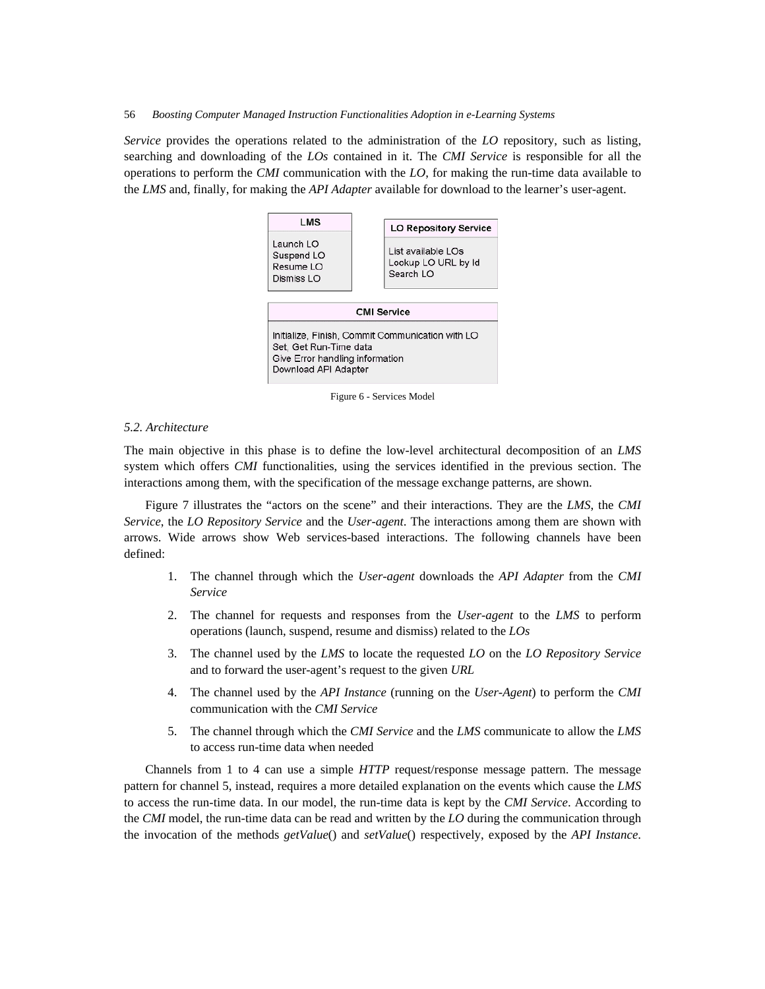*Service* provides the operations related to the administration of the *LO* repository, such as listing, searching and downloading of the *LOs* contained in it. The *CMI Service* is responsible for all the operations to perform the *CMI* communication with the *LO*, for making the run-time data available to the *LMS* and, finally, for making the *API Adapter* available for download to the learner's user-agent.



Figure 6 - Services Model

### *5.2. Architecture*

The main objective in this phase is to define the low-level architectural decomposition of an *LMS* system which offers *CMI* functionalities, using the services identified in the previous section. The interactions among them, with the specification of the message exchange patterns, are shown.

Figure 7 illustrates the "actors on the scene" and their interactions. They are the *LMS*, the *CMI Service*, the *LO Repository Service* and the *User-agent*. The interactions among them are shown with arrows. Wide arrows show Web services-based interactions. The following channels have been defined:

- 1. The channel through which the *User-agent* downloads the *API Adapter* from the *CMI Service*
- 2. The channel for requests and responses from the *User-agent* to the *LMS* to perform operations (launch, suspend, resume and dismiss) related to the *LOs*
- 3. The channel used by the *LMS* to locate the requested *LO* on the *LO Repository Service* and to forward the user-agent's request to the given *URL*
- 4. The channel used by the *API Instance* (running on the *User-Agent*) to perform the *CMI* communication with the *CMI Service*
- 5. The channel through which the *CMI Service* and the *LMS* communicate to allow the *LMS* to access run-time data when needed

Channels from 1 to 4 can use a simple *HTTP* request/response message pattern. The message pattern for channel 5, instead, requires a more detailed explanation on the events which cause the *LMS* to access the run-time data. In our model, the run-time data is kept by the *CMI Service*. According to the *CMI* model, the run-time data can be read and written by the *LO* during the communication through the invocation of the methods *getValue*() and *setValue*() respectively, exposed by the *API Instance*.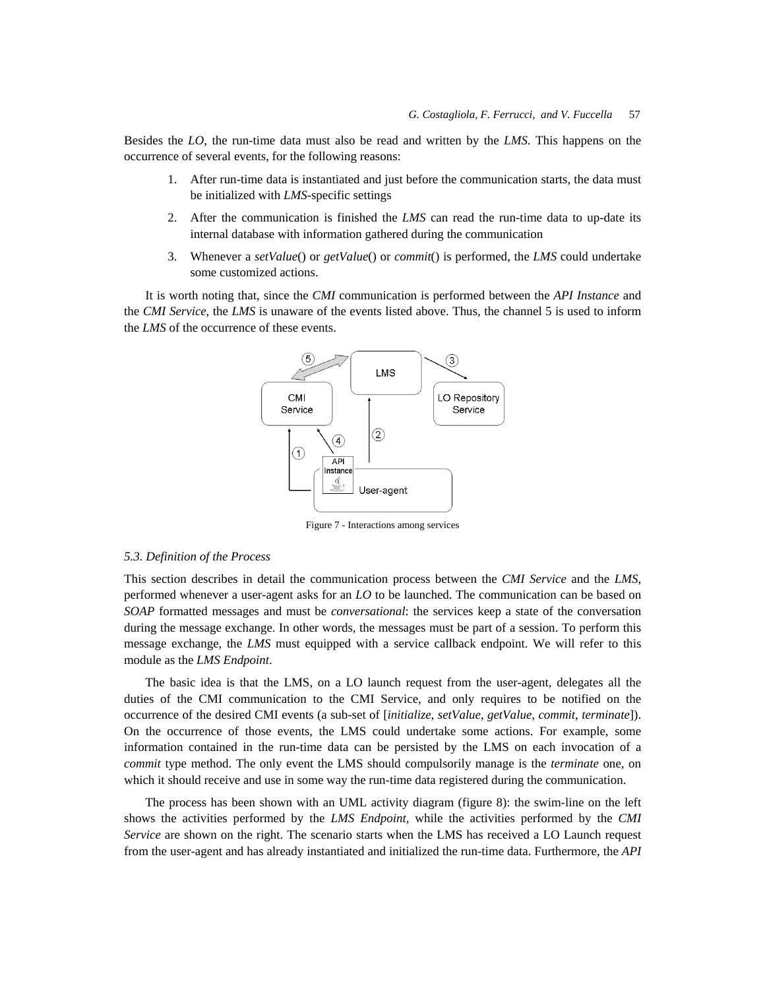Besides the *LO*, the run-time data must also be read and written by the *LMS*. This happens on the occurrence of several events, for the following reasons:

- 1. After run-time data is instantiated and just before the communication starts, the data must be initialized with *LMS*-specific settings
- 2. After the communication is finished the *LMS* can read the run-time data to up-date its internal database with information gathered during the communication
- 3. Whenever a *setValue*() or *getValue*() or *commit*() is performed, the *LMS* could undertake some customized actions.

It is worth noting that, since the *CMI* communication is performed between the *API Instance* and the *CMI Service*, the *LMS* is unaware of the events listed above. Thus, the channel 5 is used to inform the *LMS* of the occurrence of these events.



Figure 7 - Interactions among services

### *5.3. Definition of the Process*

This section describes in detail the communication process between the *CMI Service* and the *LMS*, performed whenever a user-agent asks for an *LO* to be launched. The communication can be based on *SOAP* formatted messages and must be *conversational*: the services keep a state of the conversation during the message exchange. In other words, the messages must be part of a session. To perform this message exchange, the *LMS* must equipped with a service callback endpoint. We will refer to this module as the *LMS Endpoint*.

The basic idea is that the LMS, on a LO launch request from the user-agent, delegates all the duties of the CMI communication to the CMI Service, and only requires to be notified on the occurrence of the desired CMI events (a sub-set of [*initialize*, *setValue*, *getValue*, *commit*, *terminate*]). On the occurrence of those events, the LMS could undertake some actions. For example, some information contained in the run-time data can be persisted by the LMS on each invocation of a *commit* type method. The only event the LMS should compulsorily manage is the *terminate* one, on which it should receive and use in some way the run-time data registered during the communication.

The process has been shown with an UML activity diagram (figure 8): the swim-line on the left shows the activities performed by the *LMS Endpoint*, while the activities performed by the *CMI Service* are shown on the right. The scenario starts when the LMS has received a LO Launch request from the user-agent and has already instantiated and initialized the run-time data. Furthermore, the *API*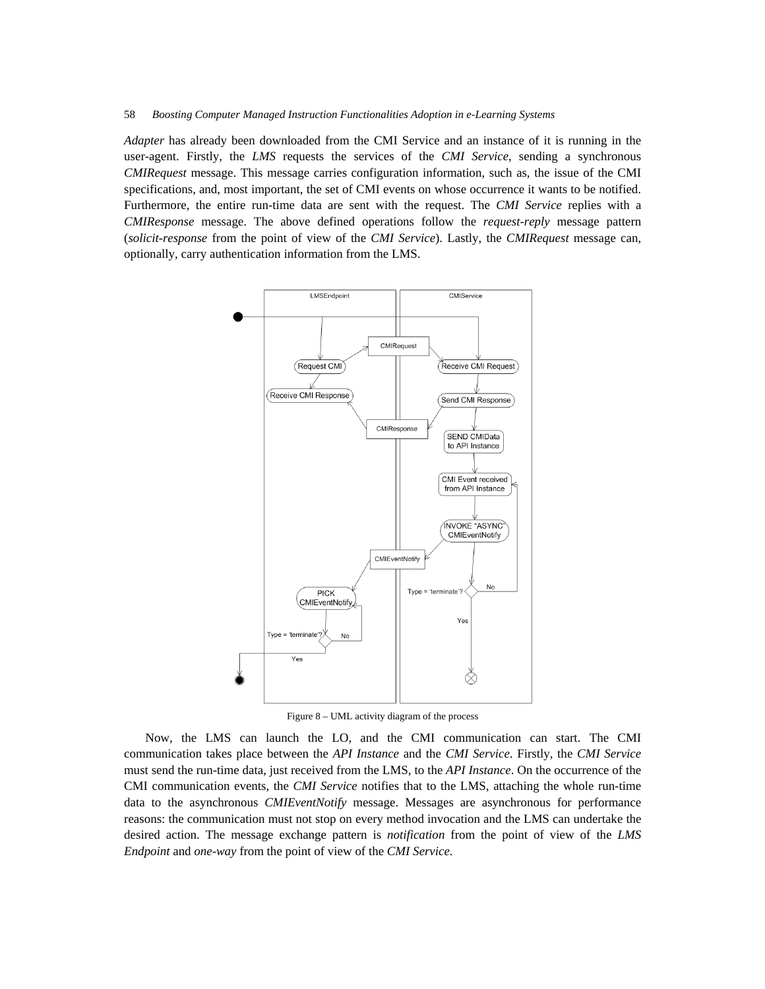*Adapter* has already been downloaded from the CMI Service and an instance of it is running in the user-agent. Firstly, the *LMS* requests the services of the *CMI Service*, sending a synchronous *CMIRequest* message. This message carries configuration information, such as, the issue of the CMI specifications, and, most important, the set of CMI events on whose occurrence it wants to be notified. Furthermore, the entire run-time data are sent with the request. The *CMI Service* replies with a *CMIResponse* message. The above defined operations follow the *request-reply* message pattern (*solicit-response* from the point of view of the *CMI Service*). Lastly, the *CMIRequest* message can, optionally, carry authentication information from the LMS.



Figure 8 – UML activity diagram of the process

Now, the LMS can launch the LO, and the CMI communication can start. The CMI communication takes place between the *API Instance* and the *CMI Service*. Firstly, the *CMI Service* must send the run-time data, just received from the LMS, to the *API Instance*. On the occurrence of the CMI communication events, the *CMI Service* notifies that to the LMS, attaching the whole run-time data to the asynchronous *CMIEventNotify* message. Messages are asynchronous for performance reasons: the communication must not stop on every method invocation and the LMS can undertake the desired action. The message exchange pattern is *notification* from the point of view of the *LMS Endpoint* and *one-way* from the point of view of the *CMI Service*.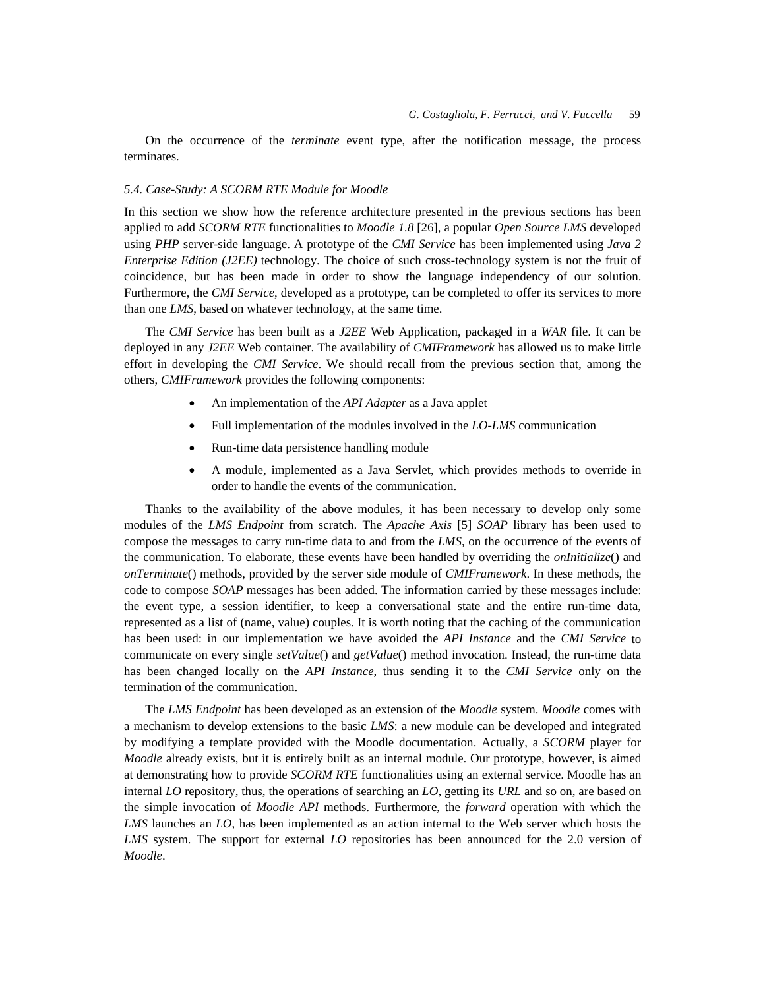On the occurrence of the *terminate* event type, after the notification message, the process terminates.

### *5.4. Case-Study: A SCORM RTE Module for Moodle*

In this section we show how the reference architecture presented in the previous sections has been applied to add *SCORM RTE* functionalities to *Moodle 1.8* [26], a popular *Open Source LMS* developed using *PHP* server-side language. A prototype of the *CMI Service* has been implemented using *Java 2 Enterprise Edition (J2EE)* technology. The choice of such cross-technology system is not the fruit of coincidence, but has been made in order to show the language independency of our solution. Furthermore, the *CMI Service*, developed as a prototype, can be completed to offer its services to more than one *LMS*, based on whatever technology, at the same time.

The *CMI Service* has been built as a *J2EE* Web Application, packaged in a *WAR* file. It can be deployed in any *J2EE* Web container. The availability of *CMIFramework* has allowed us to make little effort in developing the *CMI Service*. We should recall from the previous section that, among the others, *CMIFramework* provides the following components:

- An implementation of the *API Adapter* as a Java applet
- Full implementation of the modules involved in the *LO-LMS* communication
- Run-time data persistence handling module
- A module, implemented as a Java Servlet, which provides methods to override in order to handle the events of the communication.

Thanks to the availability of the above modules, it has been necessary to develop only some modules of the *LMS Endpoint* from scratch. The *Apache Axis* [5] *SOAP* library has been used to compose the messages to carry run-time data to and from the *LMS*, on the occurrence of the events of the communication. To elaborate, these events have been handled by overriding the *onInitialize*() and *onTerminate*() methods, provided by the server side module of *CMIFramework*. In these methods, the code to compose *SOAP* messages has been added. The information carried by these messages include: the event type, a session identifier, to keep a conversational state and the entire run-time data, represented as a list of (name, value) couples. It is worth noting that the caching of the communication has been used: in our implementation we have avoided the *API Instance* and the *CMI Service* to communicate on every single *setValue*() and *getValue*() method invocation. Instead, the run-time data has been changed locally on the *API Instance*, thus sending it to the *CMI Service* only on the termination of the communication.

The *LMS Endpoint* has been developed as an extension of the *Moodle* system. *Moodle* comes with a mechanism to develop extensions to the basic *LMS*: a new module can be developed and integrated by modifying a template provided with the Moodle documentation. Actually, a *SCORM* player for *Moodle* already exists, but it is entirely built as an internal module. Our prototype, however, is aimed at demonstrating how to provide *SCORM RTE* functionalities using an external service. Moodle has an internal *LO* repository, thus, the operations of searching an *LO*, getting its *URL* and so on, are based on the simple invocation of *Moodle API* methods. Furthermore, the *forward* operation with which the *LMS* launches an *LO*, has been implemented as an action internal to the Web server which hosts the *LMS* system. The support for external *LO* repositories has been announced for the 2.0 version of *Moodle*.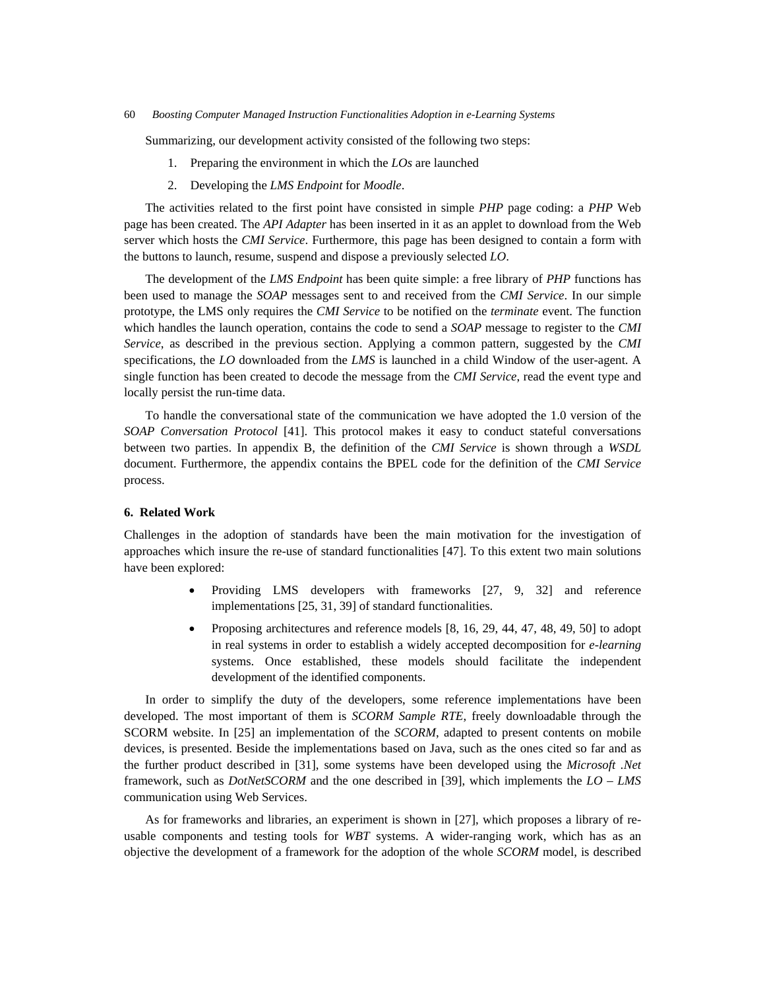Summarizing, our development activity consisted of the following two steps:

- 1. Preparing the environment in which the *LOs* are launched
- 2. Developing the *LMS Endpoint* for *Moodle*.

The activities related to the first point have consisted in simple *PHP* page coding: a *PHP* Web page has been created. The *API Adapter* has been inserted in it as an applet to download from the Web server which hosts the *CMI Service*. Furthermore, this page has been designed to contain a form with the buttons to launch, resume, suspend and dispose a previously selected *LO*.

The development of the *LMS Endpoint* has been quite simple: a free library of *PHP* functions has been used to manage the *SOAP* messages sent to and received from the *CMI Service*. In our simple prototype, the LMS only requires the *CMI Service* to be notified on the *terminate* event. The function which handles the launch operation, contains the code to send a *SOAP* message to register to the *CMI Service*, as described in the previous section. Applying a common pattern, suggested by the *CMI* specifications, the *LO* downloaded from the *LMS* is launched in a child Window of the user-agent. A single function has been created to decode the message from the *CMI Service*, read the event type and locally persist the run-time data.

To handle the conversational state of the communication we have adopted the 1.0 version of the *SOAP Conversation Protocol* [41]. This protocol makes it easy to conduct stateful conversations between two parties. In appendix B, the definition of the *CMI Service* is shown through a *WSDL* document. Furthermore, the appendix contains the BPEL code for the definition of the *CMI Service* process.

## **6. Related Work**

Challenges in the adoption of standards have been the main motivation for the investigation of approaches which insure the re-use of standard functionalities [47]. To this extent two main solutions have been explored:

- Providing LMS developers with frameworks [27, 9, 32] and reference implementations [25, 31, 39] of standard functionalities.
- Proposing architectures and reference models [8, 16, 29, 44, 47, 48, 49, 50] to adopt in real systems in order to establish a widely accepted decomposition for *e-learning* systems. Once established, these models should facilitate the independent development of the identified components.

In order to simplify the duty of the developers, some reference implementations have been developed. The most important of them is *SCORM Sample RTE*, freely downloadable through the SCORM website. In [25] an implementation of the *SCORM*, adapted to present contents on mobile devices, is presented. Beside the implementations based on Java, such as the ones cited so far and as the further product described in [31], some systems have been developed using the *Microsoft .Net* framework, such as *DotNetSCORM* and the one described in [39], which implements the *LO – LMS* communication using Web Services.

As for frameworks and libraries, an experiment is shown in [27], which proposes a library of reusable components and testing tools for *WBT* systems. A wider-ranging work, which has as an objective the development of a framework for the adoption of the whole *SCORM* model, is described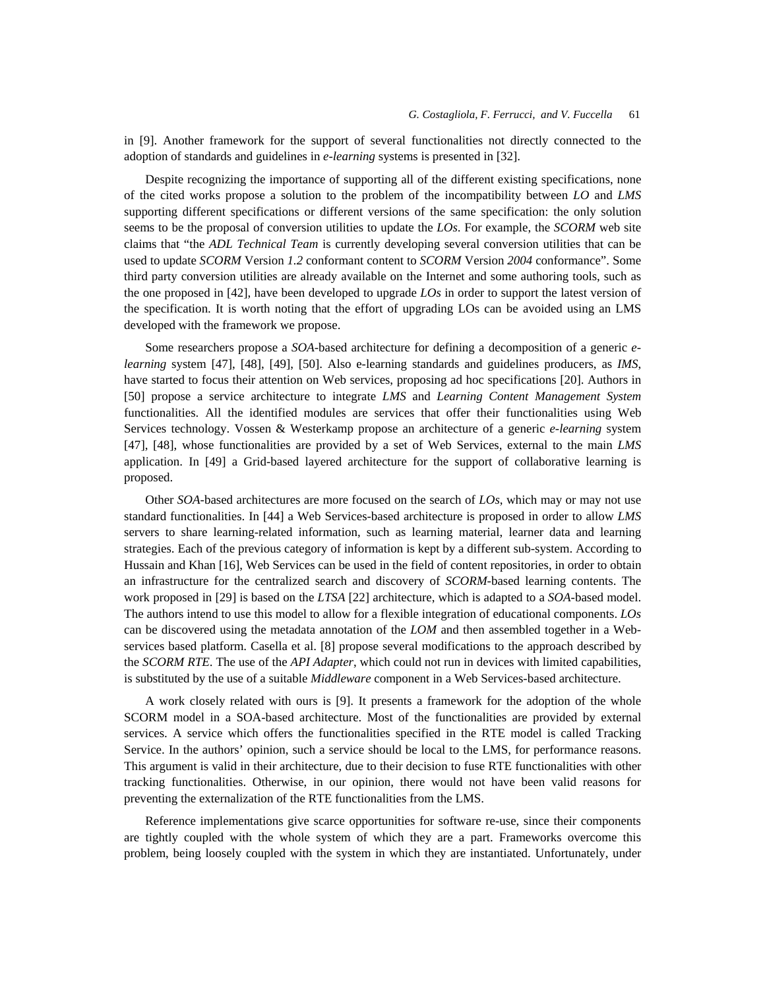in [9]. Another framework for the support of several functionalities not directly connected to the adoption of standards and guidelines in *e-learning* systems is presented in [32].

Despite recognizing the importance of supporting all of the different existing specifications, none of the cited works propose a solution to the problem of the incompatibility between *LO* and *LMS* supporting different specifications or different versions of the same specification: the only solution seems to be the proposal of conversion utilities to update the *LOs*. For example, the *SCORM* web site claims that "the *ADL Technical Team* is currently developing several conversion utilities that can be used to update *SCORM* Version *1.2* conformant content to *SCORM* Version *2004* conformance". Some third party conversion utilities are already available on the Internet and some authoring tools, such as the one proposed in [42], have been developed to upgrade *LOs* in order to support the latest version of the specification. It is worth noting that the effort of upgrading LOs can be avoided using an LMS developed with the framework we propose.

Some researchers propose a *SOA*-based architecture for defining a decomposition of a generic *elearning* system [47], [48], [49], [50]. Also e-learning standards and guidelines producers, as *IMS*, have started to focus their attention on Web services, proposing ad hoc specifications [20]. Authors in [50] propose a service architecture to integrate *LMS* and *Learning Content Management System*  functionalities. All the identified modules are services that offer their functionalities using Web Services technology. Vossen & Westerkamp propose an architecture of a generic *e-learning* system [47], [48], whose functionalities are provided by a set of Web Services, external to the main *LMS*  application. In [49] a Grid-based layered architecture for the support of collaborative learning is proposed.

Other *SOA*-based architectures are more focused on the search of *LOs*, which may or may not use standard functionalities. In [44] a Web Services-based architecture is proposed in order to allow *LMS*  servers to share learning-related information, such as learning material, learner data and learning strategies. Each of the previous category of information is kept by a different sub-system. According to Hussain and Khan [16], Web Services can be used in the field of content repositories, in order to obtain an infrastructure for the centralized search and discovery of *SCORM*-based learning contents. The work proposed in [29] is based on the *LTSA* [22] architecture, which is adapted to a *SOA*-based model. The authors intend to use this model to allow for a flexible integration of educational components. *LOs*  can be discovered using the metadata annotation of the *LOM* and then assembled together in a Webservices based platform. Casella et al. [8] propose several modifications to the approach described by the *SCORM RTE*. The use of the *API Adapter*, which could not run in devices with limited capabilities, is substituted by the use of a suitable *Middleware* component in a Web Services-based architecture.

A work closely related with ours is [9]. It presents a framework for the adoption of the whole SCORM model in a SOA-based architecture. Most of the functionalities are provided by external services. A service which offers the functionalities specified in the RTE model is called Tracking Service. In the authors' opinion, such a service should be local to the LMS, for performance reasons. This argument is valid in their architecture, due to their decision to fuse RTE functionalities with other tracking functionalities. Otherwise, in our opinion, there would not have been valid reasons for preventing the externalization of the RTE functionalities from the LMS.

Reference implementations give scarce opportunities for software re-use, since their components are tightly coupled with the whole system of which they are a part. Frameworks overcome this problem, being loosely coupled with the system in which they are instantiated. Unfortunately, under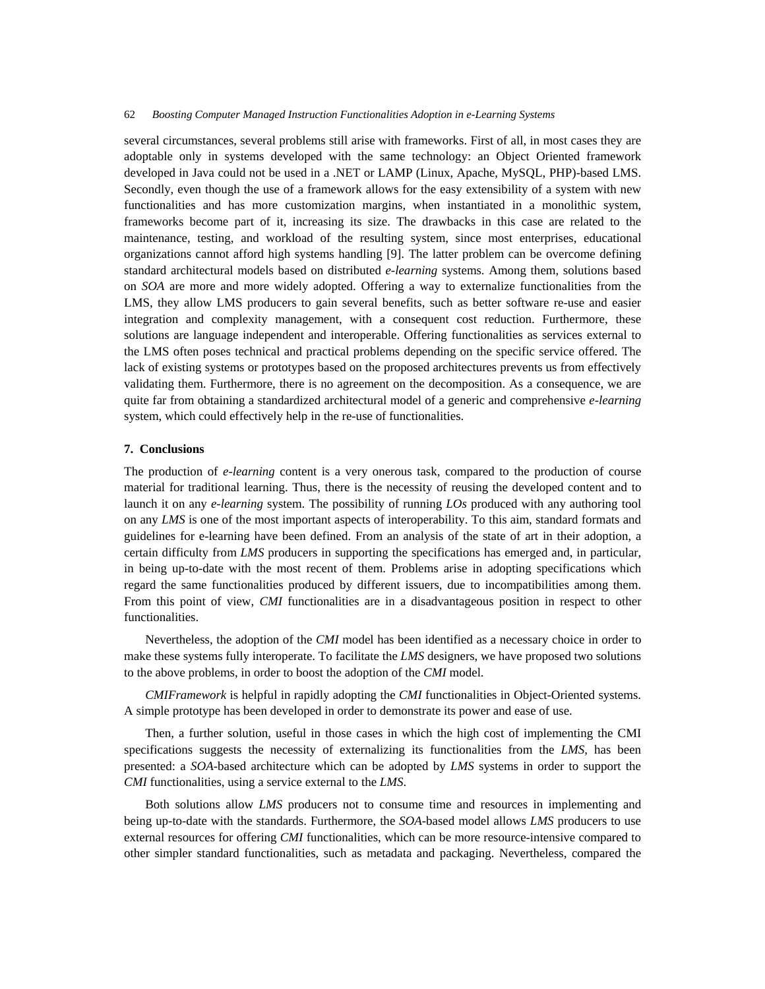several circumstances, several problems still arise with frameworks. First of all, in most cases they are adoptable only in systems developed with the same technology: an Object Oriented framework developed in Java could not be used in a .NET or LAMP (Linux, Apache, MySQL, PHP)-based LMS. Secondly, even though the use of a framework allows for the easy extensibility of a system with new functionalities and has more customization margins, when instantiated in a monolithic system, frameworks become part of it, increasing its size. The drawbacks in this case are related to the maintenance, testing, and workload of the resulting system, since most enterprises, educational organizations cannot afford high systems handling [9]. The latter problem can be overcome defining standard architectural models based on distributed *e-learning* systems. Among them, solutions based on *SOA* are more and more widely adopted. Offering a way to externalize functionalities from the LMS, they allow LMS producers to gain several benefits, such as better software re-use and easier integration and complexity management, with a consequent cost reduction. Furthermore, these solutions are language independent and interoperable. Offering functionalities as services external to the LMS often poses technical and practical problems depending on the specific service offered. The lack of existing systems or prototypes based on the proposed architectures prevents us from effectively validating them. Furthermore, there is no agreement on the decomposition. As a consequence, we are quite far from obtaining a standardized architectural model of a generic and comprehensive *e-learning* system, which could effectively help in the re-use of functionalities.

### **7. Conclusions**

The production of *e-learning* content is a very onerous task, compared to the production of course material for traditional learning. Thus, there is the necessity of reusing the developed content and to launch it on any *e-learning* system. The possibility of running *LOs* produced with any authoring tool on any *LMS* is one of the most important aspects of interoperability. To this aim, standard formats and guidelines for e-learning have been defined. From an analysis of the state of art in their adoption, a certain difficulty from *LMS* producers in supporting the specifications has emerged and, in particular, in being up-to-date with the most recent of them. Problems arise in adopting specifications which regard the same functionalities produced by different issuers, due to incompatibilities among them. From this point of view, *CMI* functionalities are in a disadvantageous position in respect to other functionalities.

Nevertheless, the adoption of the *CMI* model has been identified as a necessary choice in order to make these systems fully interoperate. To facilitate the *LMS* designers, we have proposed two solutions to the above problems, in order to boost the adoption of the *CMI* model.

*CMIFramework* is helpful in rapidly adopting the *CMI* functionalities in Object-Oriented systems. A simple prototype has been developed in order to demonstrate its power and ease of use.

Then, a further solution, useful in those cases in which the high cost of implementing the CMI specifications suggests the necessity of externalizing its functionalities from the *LMS*, has been presented: a *SOA*-based architecture which can be adopted by *LMS* systems in order to support the *CMI* functionalities, using a service external to the *LMS*.

Both solutions allow *LMS* producers not to consume time and resources in implementing and being up-to-date with the standards. Furthermore, the *SOA*-based model allows *LMS* producers to use external resources for offering *CMI* functionalities, which can be more resource-intensive compared to other simpler standard functionalities, such as metadata and packaging. Nevertheless, compared the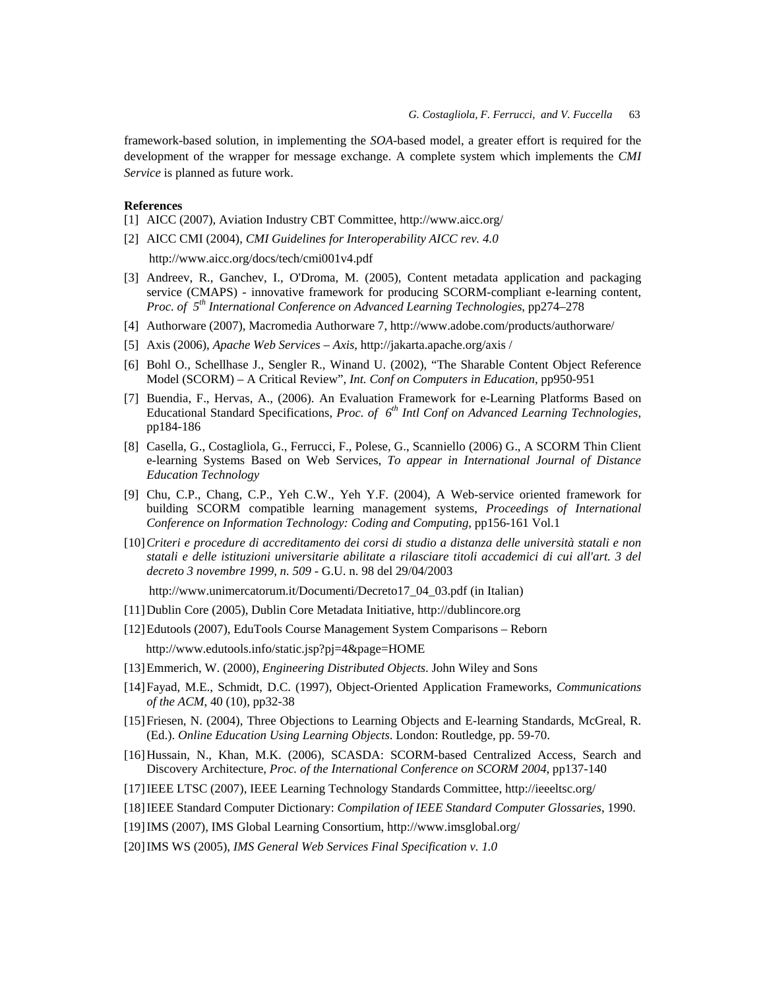framework-based solution, in implementing the *SOA*-based model, a greater effort is required for the development of the wrapper for message exchange. A complete system which implements the *CMI Service* is planned as future work.

# **References**

- [1] AICC (2007), Aviation Industry CBT Committee, http://www.aicc.org/
- [2] AICC CMI (2004), *CMI Guidelines for Interoperability AICC rev. 4.0* http://www.aicc.org/docs/tech/cmi001v4.pdf
- [3] Andreev, R., Ganchev, I., O'Droma, M. (2005), Content metadata application and packaging service (CMAPS) - innovative framework for producing SCORM-compliant e-learning content, *Proc. of 5th International Conference on Advanced Learning Technologies*, pp274–278
- [4] Authorware (2007), Macromedia Authorware 7, http://www.adobe.com/products/authorware/
- [5] Axis (2006), *Apache Web Services Axis*, http://jakarta.apache.org/axis /
- [6] Bohl O., Schellhase J., Sengler R., Winand U. (2002), "The Sharable Content Object Reference Model (SCORM) – A Critical Review", *Int. Conf on Computers in Education*, pp950-951
- [7] Buendia, F., Hervas, A., (2006). An Evaluation Framework for e-Learning Platforms Based on Educational Standard Specifications, *Proc. of 6th Intl Conf on Advanced Learning Technologies*, pp184-186
- [8] Casella, G., Costagliola, G., Ferrucci, F., Polese, G., Scanniello (2006) G., A SCORM Thin Client e-learning Systems Based on Web Services, *To appear in International Journal of Distance Education Technology*
- [9] Chu, C.P., Chang, C.P., Yeh C.W., Yeh Y.F. (2004), A Web-service oriented framework for building SCORM compatible learning management systems, *Proceedings of International Conference on Information Technology: Coding and Computing*, pp156-161 Vol.1
- [10]*Criteri e procedure di accreditamento dei corsi di studio a distanza delle università statali e non statali e delle istituzioni universitarie abilitate a rilasciare titoli accademici di cui all'art. 3 del decreto 3 novembre 1999, n. 509* - G.U. n. 98 del 29/04/2003

http://www.unimercatorum.it/Documenti/Decreto17\_04\_03.pdf (in Italian)

- [11]Dublin Core (2005), Dublin Core Metadata Initiative, http://dublincore.org
- [12]Edutools (2007), EduTools Course Management System Comparisons Reborn http://www.edutools.info/static.jsp?pj=4&page=HOME
- [13]Emmerich, W. (2000), *Engineering Distributed Objects*. John Wiley and Sons
- [14]Fayad, M.E., Schmidt, D.C. (1997), Object-Oriented Application Frameworks, *Communications of the ACM*, 40 (10), pp32-38
- [15] Friesen, N. (2004), Three Objections to Learning Objects and E-learning Standards, McGreal, R. (Ed.). *Online Education Using Learning Objects*. London: Routledge, pp. 59-70.
- [16] Hussain, N., Khan, M.K. (2006), SCASDA: SCORM-based Centralized Access, Search and Discovery Architecture, *Proc. of the International Conference on SCORM 2004*, pp137-140
- [17]IEEE LTSC (2007), IEEE Learning Technology Standards Committee, http://ieeeltsc.org/
- [18]IEEE Standard Computer Dictionary: *Compilation of IEEE Standard Computer Glossaries*, 1990.
- [19]IMS (2007), IMS Global Learning Consortium, http://www.imsglobal.org/
- [20]IMS WS (2005), *IMS General Web Services Final Specification v. 1.0*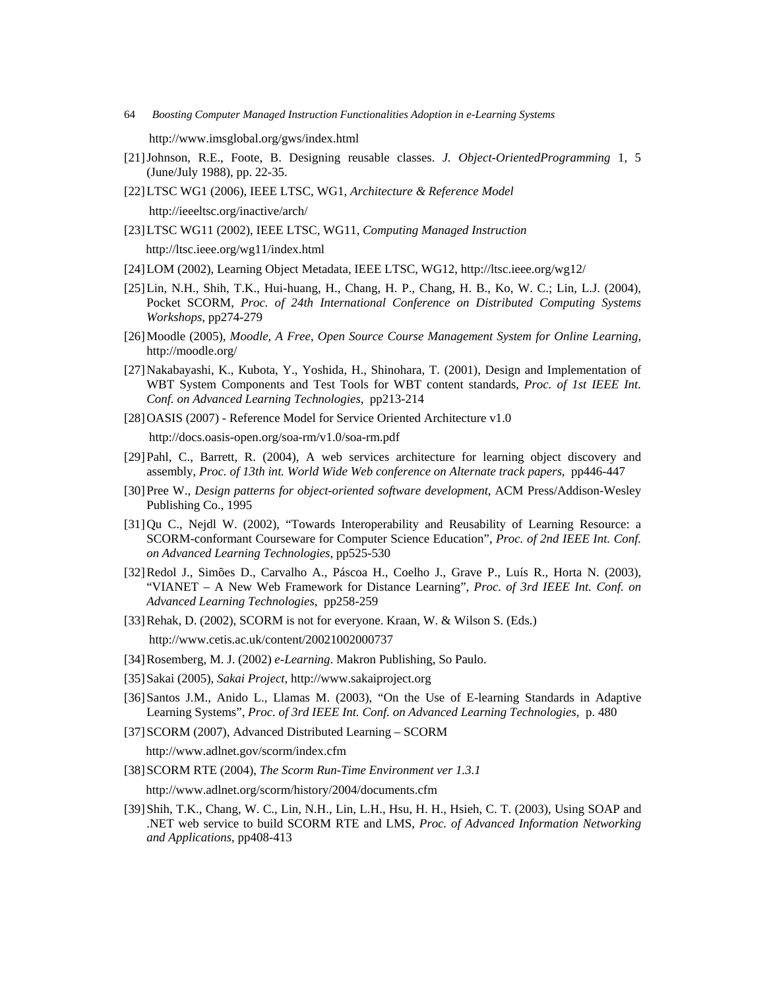http://www.imsglobal.org/gws/index.html

- [21]Johnson, R.E., Foote, B. Designing reusable classes. *J. Object-OrientedProgramming* 1, 5 (June/July 1988), pp. 22-35.
- [22]LTSC WG1 (2006), IEEE LTSC, WG1, *Architecture & Reference Model*

http://ieeeltsc.org/inactive/arch/

[23]LTSC WG11 (2002), IEEE LTSC, WG11, *Computing Managed Instruction*

http://ltsc.ieee.org/wg11/index.html

- [24]LOM (2002), Learning Object Metadata, IEEE LTSC, WG12, http://ltsc.ieee.org/wg12/
- [25]Lin, N.H., Shih, T.K., Hui-huang, H., Chang, H. P., Chang, H. B., Ko, W. C.; Lin, L.J. (2004), Pocket SCORM, *Proc. of 24th International Conference on Distributed Computing Systems Workshops*, pp274-279
- [26]Moodle (2005), *Moodle, A Free, Open Source Course Management System for Online Learning*, http://moodle.org/
- [27]Nakabayashi, K., Kubota, Y., Yoshida, H., Shinohara, T. (2001), Design and Implementation of WBT System Components and Test Tools for WBT content standards, *Proc. of 1st IEEE Int. Conf. on Advanced Learning Technologies*, pp213-214
- [28]OASIS (2007) Reference Model for Service Oriented Architecture v1.0

http://docs.oasis-open.org/soa-rm/v1.0/soa-rm.pdf

- [29]Pahl, C., Barrett, R. (2004), A web services architecture for learning object discovery and assembly, *Proc. of 13th int. World Wide Web conference on Alternate track papers*, pp446-447
- [30]Pree W., *Design patterns for object-oriented software development*, ACM Press/Addison-Wesley Publishing Co., 1995
- [31]Qu C., Nejdl W. (2002), "Towards Interoperability and Reusability of Learning Resource: a SCORM-conformant Courseware for Computer Science Education", *Proc. of 2nd IEEE Int. Conf. on Advanced Learning Technologies*, pp525-530
- [32]Redol J., Simões D., Carvalho A., Páscoa H., Coelho J., Grave P., Luís R., Horta N. (2003), "VIANET – A New Web Framework for Distance Learning", *Proc. of 3rd IEEE Int. Conf. on Advanced Learning Technologies*, pp258-259
- [33] Rehak, D. (2002), SCORM is not for everyone. Kraan, W. & Wilson S. (Eds.)

http://www.cetis.ac.uk/content/20021002000737

- [34]Rosemberg, M. J. (2002) *e-Learning*. Makron Publishing, So Paulo.
- [35]Sakai (2005), *Sakai Project*, http://www.sakaiproject.org
- [36]Santos J.M., Anido L., Llamas M. (2003), "On the Use of E-learning Standards in Adaptive Learning Systems", *Proc. of 3rd IEEE Int. Conf. on Advanced Learning Technologies*, p. 480
- [37]SCORM (2007), Advanced Distributed Learning SCORM

http://www.adlnet.gov/scorm/index.cfm

[38]SCORM RTE (2004), *The Scorm Run-Time Environment ver 1.3.1*

http://www.adlnet.org/scorm/history/2004/documents.cfm

[39]Shih, T.K., Chang, W. C., Lin, N.H., Lin, L.H., Hsu, H. H., Hsieh, C. T. (2003), Using SOAP and .NET web service to build SCORM RTE and LMS, *Proc. of Advanced Information Networking and Applications*, pp408-413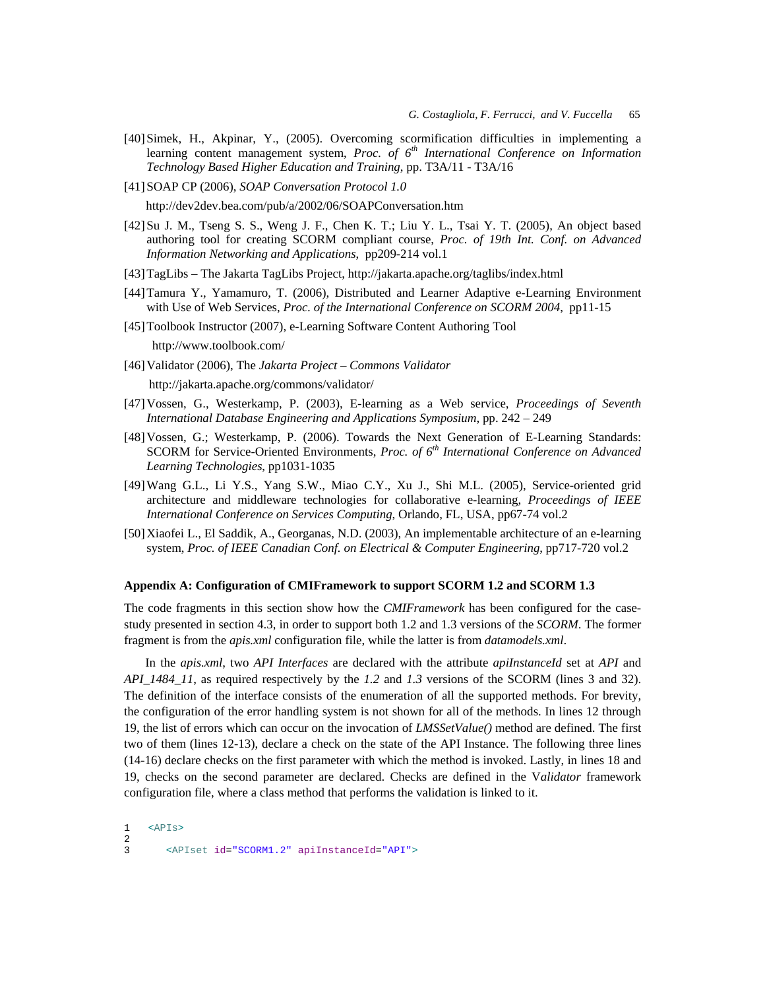- [40]Simek, H., Akpinar, Y., (2005). Overcoming scormification difficulties in implementing a learning content management system, *Proc. of 6th International Conference on Information Technology Based Higher Education and Training*, pp. T3A/11 - T3A/16
- [41]SOAP CP (2006), *SOAP Conversation Protocol 1.0* http://dev2dev.bea.com/pub/a/2002/06/SOAPConversation.htm
- [42]Su J. M., Tseng S. S., Weng J. F., Chen K. T.; Liu Y. L., Tsai Y. T. (2005), An object based authoring tool for creating SCORM compliant course, *Proc. of 19th Int. Conf. on Advanced Information Networking and Applications*, pp209-214 vol.1
- [43]TagLibs The Jakarta TagLibs Project, http://jakarta.apache.org/taglibs/index.html
- [44]Tamura Y., Yamamuro, T. (2006), Distributed and Learner Adaptive e-Learning Environment with Use of Web Services, *Proc. of the International Conference on SCORM 2004*, pp11-15
- [45] Toolbook Instructor (2007), e-Learning Software Content Authoring Tool

http://www.toolbook.com/

[46]Validator (2006), The *Jakarta Project – Commons Validator*

http://jakarta.apache.org/commons/validator/

- [47]Vossen, G., Westerkamp, P. (2003), E-learning as a Web service, *Proceedings of Seventh International Database Engineering and Applications Symposium*, pp. 242 – 249
- [48]Vossen, G.; Westerkamp, P. (2006). Towards the Next Generation of E-Learning Standards: SCORM for Service-Oriented Environments, *Proc. of 6th International Conference on Advanced Learning Technologies*, pp1031-1035
- [49]Wang G.L., Li Y.S., Yang S.W., Miao C.Y., Xu J., Shi M.L. (2005), Service-oriented grid architecture and middleware technologies for collaborative e-learning, *Proceedings of IEEE International Conference on Services Computing*, Orlando, FL, USA, pp67-74 vol.2
- [50]Xiaofei L., El Saddik, A., Georganas, N.D. (2003), An implementable architecture of an e-learning system, *Proc. of IEEE Canadian Conf. on Electrical & Computer Engineering*, pp717-720 vol.2

#### **Appendix A: Configuration of CMIFramework to support SCORM 1.2 and SCORM 1.3**

The code fragments in this section show how the *CMIFramework* has been configured for the casestudy presented in section 4.3, in order to support both 1.2 and 1.3 versions of the *SCORM*. The former fragment is from the *apis.xml* configuration file, while the latter is from *datamodels.xml*.

In the *apis.xml*, two *API Interfaces* are declared with the attribute *apiInstanceId* set at *API* and *API\_1484\_11*, as required respectively by the *1.2* and *1.3* versions of the SCORM (lines 3 and 32). The definition of the interface consists of the enumeration of all the supported methods. For brevity, the configuration of the error handling system is not shown for all of the methods. In lines 12 through 19, the list of errors which can occur on the invocation of *LMSSetValue()* method are defined. The first two of them (lines 12-13), declare a check on the state of the API Instance. The following three lines (14-16) declare checks on the first parameter with which the method is invoked. Lastly, in lines 18 and 19, checks on the second parameter are declared. Checks are defined in the V*alidator* framework configuration file, where a class method that performs the validation is linked to it.

```
1 <APIs>
\frac{2}{3}3 <APIset id="SCORM1.2" apiInstanceId="API">
```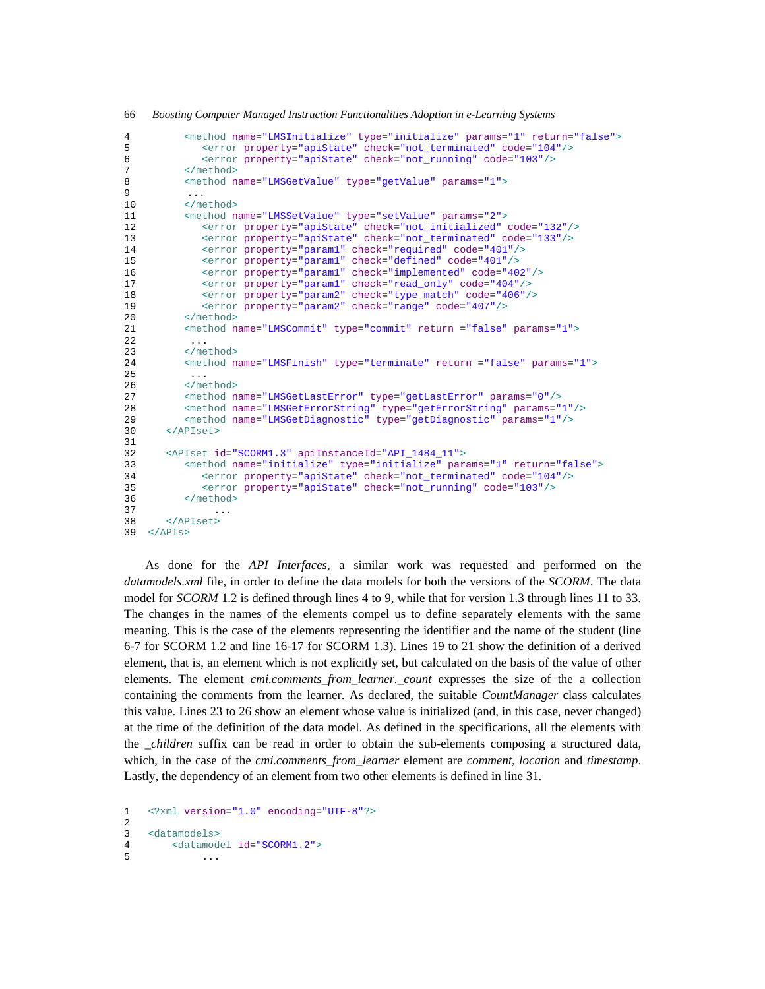```
4 <method name="LMSInitialize" type="initialize" params="1" return="false">
              5 <error property="apiState" check="not_terminated" code="104"/>
6 <error property="apiState" check="not_running" code="103"/>
7 </method>
8 <method name="LMSGetValue" type="getValue" params="1">
9 ... 
10 </method>
11 <method name="LMSSetValue" type="setValue" params="2">
12 <error property="apiState" check="not_initialized" code="132"/>
13 <error property="apiState" check="not_terminated" code="133"/> 
14 <error property="param1" check="required" code="401"/> 
15 <error property="param1" check="defined" code="401"/><br>16 <error property="param1" check="implemented" code="40
16 <error property="param1" check="implemented" code="402"/><br>17 <error property="param1" check="read only" code="404"/>
             17 <error property="param1" check="read_only" code="404"/> 
18 <error property="param2" check="type_match" code="406"/><br>19 <error property="param2" check="range" code="407"/>
             19 <error property="param2" check="range" code="407"/>
20 </method><br>21 <method n
          21 <method name="LMSCommit" type="commit" return ="false" params="1">
2223 </method><br>24 <method n
          24 <method name="LMSFinish" type="terminate" return ="false" params="1">
25 ... 
26 </method><br>27 <method n
27 < method name="LMSGetLastError" type="getLastError" params="0"/><br>28 < method name="LMSGetErrorString" type="getErrorString" params="
28 <method name="LMSGetErrorString" type="getErrorString" params="1"/><br>29 <method name="LMSGetDiagnostic" type="getDiagnostic" params="1"/>
29 <method name="LMSGetDiagnostic" type="getDiagnostic" params="1"/><br>30 </APIset>
       30 </APIset>
31 
32 <APIset id="SCORM1.3" apiInstanceId="API_1484_11"> 
          33 <method name="initialize" type="initialize" params="1" return="false">
34 <error property="apiState" check="not_terminated" code="104"/>
35 <error property="apiState" check="not_running" code="103"/>
36 </method>
37 ... 
38 </APIset>
39 </APIs>
```
As done for the *API Interfaces*, a similar work was requested and performed on the *datamodels.xml* file, in order to define the data models for both the versions of the *SCORM*. The data model for *SCORM* 1.2 is defined through lines 4 to 9, while that for version 1.3 through lines 11 to 33. The changes in the names of the elements compel us to define separately elements with the same meaning. This is the case of the elements representing the identifier and the name of the student (line 6-7 for SCORM 1.2 and line 16-17 for SCORM 1.3). Lines 19 to 21 show the definition of a derived element, that is, an element which is not explicitly set, but calculated on the basis of the value of other elements. The element *cmi.comments\_from\_learner.\_count* expresses the size of the a collection containing the comments from the learner. As declared, the suitable *CountManager* class calculates this value. Lines 23 to 26 show an element whose value is initialized (and, in this case, never changed) at the time of the definition of the data model. As defined in the specifications, all the elements with the *\_children* suffix can be read in order to obtain the sub-elements composing a structured data, which, in the case of the *cmi.comments\_from\_learner* element are *comment*, *location* and *timestamp*. Lastly, the dependency of an element from two other elements is defined in line 31.

1 <?xml version="1.0" encoding="UTF-8"?>  $\mathcal{D}$ 3 <datamodels> 4 <datamodel id="SCORM1.2">  $5 \quad . . .$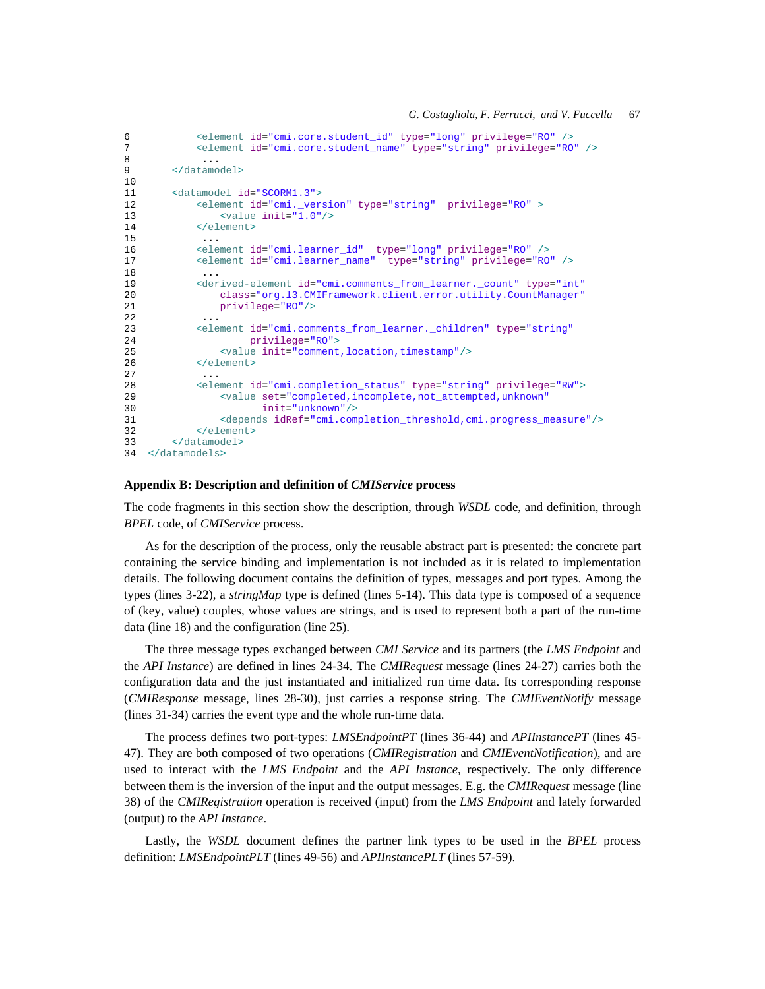```
6 <element id="cmi.core.student_id" type="long" privilege="RO" /><br>7 <element id="cmi.core.student name" type="string" privilege="RO
              7 <element id="cmi.core.student_name" type="string" privilege="RO" />
8 ... 
9 </datamodel>
10 
11 <datamodel id="SCORM1.3"><br>12 <element id="cmi.ver
             12 <element id="cmi._version" type="string" privilege="RO" > 
13 <value init="1.0"/>
14 </element> 
15 ... 
16 <element id="cmi.learner_id" type="long" privilege="RO" /><br>17 <element id="cmi.learner_name" type="string" privilege="RO
17 <element id="cmi.learner_name" type="string" privilege="RO" />
18 ... 
19 < derived-element id="cmi.comments from learner. count" type="int"
20 class="org.l3.CMIFramework.client.error.utility.CountManager"<br>21 crivilege="RO"/>
                 privilege="RO"/>
22<br>23
              23 <element id="cmi.comments_from_learner._children" type="string" 
24 privilege="RO">
25 <value init="comment,location,timestamp"/><br>26 </element>
             26 </element>
27 ... 
28 <element id="cmi.completion_status" type="string" privilege="RW"><br>29 <value set="completed incomplete not attempted unknown"
29 \leq \leq \leq \leq \leq \leq \leq \leq \leq \leq \leq \leq \leq \leq \leq \leq \leq \leq \leq \leq \leq \leq \leq \leq \leq \leq \leq \leq \leq \leq \leq \leq \leq \leq \leq \leq \le30 init="unknown"/>
31 <depends idRef="cmi.completion_threshold,cmi.progress_measure"/>
              32 </element>
33 </datamodel> 
34 </datamodels>
```
### **Appendix B: Description and definition of** *CMIService* **process**

The code fragments in this section show the description, through *WSDL* code, and definition, through *BPEL* code, of *CMIService* process.

As for the description of the process, only the reusable abstract part is presented: the concrete part containing the service binding and implementation is not included as it is related to implementation details. The following document contains the definition of types, messages and port types. Among the types (lines 3-22), a *stringMap* type is defined (lines 5-14). This data type is composed of a sequence of (key, value) couples, whose values are strings, and is used to represent both a part of the run-time data (line 18) and the configuration (line 25).

The three message types exchanged between *CMI Service* and its partners (the *LMS Endpoint* and the *API Instance*) are defined in lines 24-34. The *CMIRequest* message (lines 24-27) carries both the configuration data and the just instantiated and initialized run time data. Its corresponding response (*CMIResponse* message, lines 28-30), just carries a response string. The *CMIEventNotify* message (lines 31-34) carries the event type and the whole run-time data.

The process defines two port-types: *LMSEndpointPT* (lines 36-44) and *APIInstancePT* (lines 45- 47). They are both composed of two operations (*CMIRegistration* and *CMIEventNotification*), and are used to interact with the *LMS Endpoint* and the *API Instance*, respectively. The only difference between them is the inversion of the input and the output messages. E.g. the *CMIRequest* message (line 38) of the *CMIRegistration* operation is received (input) from the *LMS Endpoint* and lately forwarded (output) to the *API Instance*.

Lastly, the *WSDL* document defines the partner link types to be used in the *BPEL* process definition: *LMSEndpointPLT* (lines 49-56) and *APIInstancePLT* (lines 57-59).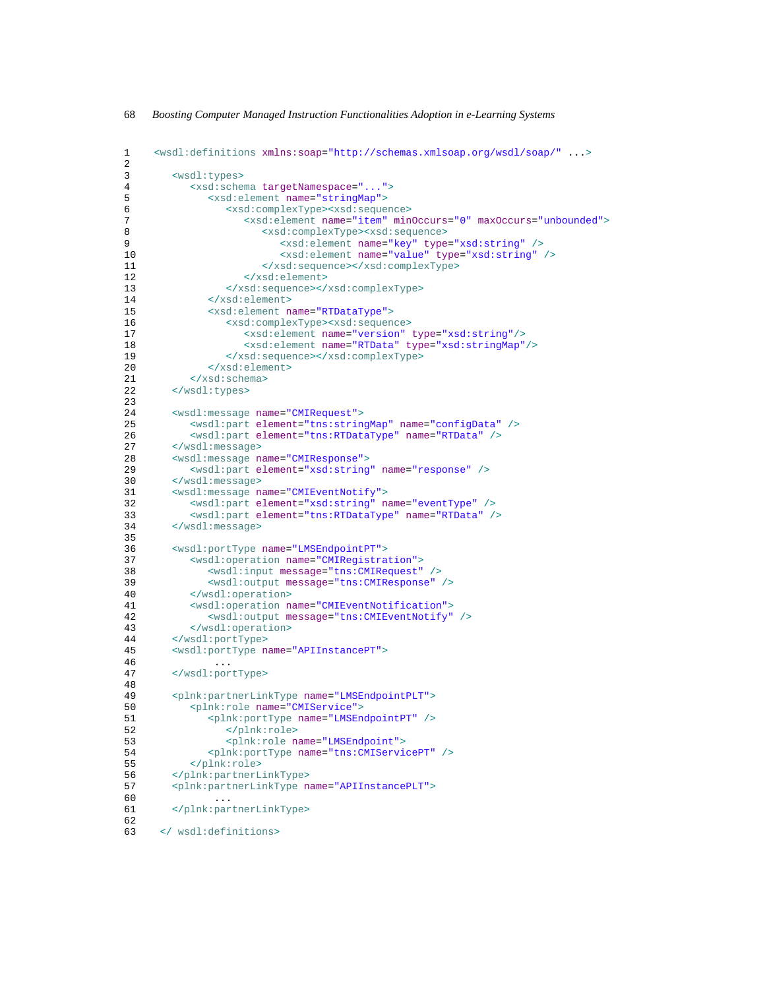| 1<br>2 | <wsdl:definitions xmlns:soap="http://schemas.xmlsoap.org/wsdl/soap/"></wsdl:definitions> |
|--------|------------------------------------------------------------------------------------------|
| 3      | <wsdl:types></wsdl:types>                                                                |
| 4      | <xsd:schema targetnamespace=""></xsd:schema>                                             |
| 5      | <xsd:element name="stringMap"></xsd:element>                                             |
|        |                                                                                          |
| 6      | <xsd:complextype><xsd:sequence></xsd:sequence></xsd:complextype>                         |
| 7      | <xsd:element maxoccurs="unbounded" minoccurs="0" name="item"></xsd:element>              |
| 8      | <xsd:complextype><xsd:sequence></xsd:sequence></xsd:complextype>                         |
| 9      | <xsd:element name="key" type="xsd:string"></xsd:element>                                 |
| 10     | <xsd:element name="value" type="xsd:string"></xsd:element>                               |
| 11     |                                                                                          |
| 12     |                                                                                          |
| 13     |                                                                                          |
| 14     |                                                                                          |
| 15     | <xsd:element name="RTDataType"></xsd:element>                                            |
| 16     | <xsd:complextype><xsd:sequence></xsd:sequence></xsd:complextype>                         |
| 17     | <xsd:element name="version" type="xsd:string"></xsd:element>                             |
| 18     | <xsd:element name="RTData" type="xsd:stringMap"></xsd:element>                           |
| 19     |                                                                                          |
| 20     |                                                                                          |
| 21     |                                                                                          |
|        |                                                                                          |
| 22     |                                                                                          |
| 23     |                                                                                          |
| 24     | <wsdl:message name="CMIRequest"></wsdl:message>                                          |
| 25     | <wsdl:part element="tns:stringMap" name="configData"></wsdl:part>                        |
| 26     | <wsdl:part element="tns:RTDataType" name="RTData"></wsdl:part>                           |
| 27     |                                                                                          |
| 28     | <wsdl:message name="CMIResponse"></wsdl:message>                                         |
| 29     | <wsdl:part element="xsd:string" name="response"></wsdl:part>                             |
| 30     |                                                                                          |
| 31     | <wsdl:message name="CMIEventNotify"></wsdl:message>                                      |
| 32     | <wsdl:part element="xsd:string" name="eventType"></wsdl:part>                            |
| 33     | <wsdl:part element="tns:RTDataType" name="RTData"></wsdl:part>                           |
| 34     |                                                                                          |
| 35     |                                                                                          |
| 36     | <wsdl:porttype name="LMSEndpointPT"></wsdl:porttype>                                     |
| 37     | <wsdl:operation name="CMIRegistration"></wsdl:operation>                                 |
| 38     | <wsdl:input message="tns: CMIRequest"></wsdl:input>                                      |
| 39     | <wsdl:output message="tns: CMIResponse"></wsdl:output>                                   |
| 40     |                                                                                          |
| 41     | <wsdl:operation name="CMIEventNotification"></wsdl:operation>                            |
| 42     | <wsdl:output message="tns:CMIEventNotify"></wsdl:output>                                 |
| 43     |                                                                                          |
| 44     |                                                                                          |
|        |                                                                                          |
| 45     | <wsdl:porttype name="APIInstancePT"></wsdl:porttype>                                     |
| 46     | $\cdots$                                                                                 |
| 47     |                                                                                          |
| 48     |                                                                                          |
| 49     | <plnk:partnerlinktype name="LMSEndpointPLT"></plnk:partnerlinktype>                      |
| 50     | <plnk:role name="CMIService"></plnk:role>                                                |
| 51     | <plnk:porttype name="LMSEndpointPT"></plnk:porttype>                                     |
| 52     |                                                                                          |
| 53     | <plnk: name="LMSEndpoint" role=""></plnk:>                                               |
| 54     | <plnk:porttype name="tns:CMIServicePT"></plnk:porttype>                                  |
| 55     |                                                                                          |
| 56     |                                                                                          |
| 57     | <plnk:partnerlinktype name="APIInstancePLT"></plnk:partnerlinktype>                      |
| 60     | $\cdots$                                                                                 |
| 61     |                                                                                          |
| 62     |                                                                                          |
| 63     |                                                                                          |
|        |                                                                                          |